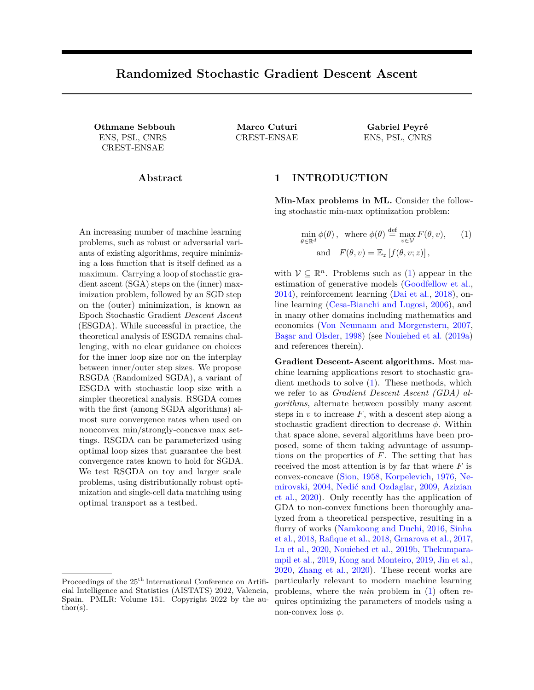# **Randomized Stochastic Gradient Descent Ascent**

**Othmane Sebbouh Marco Cuturi Gabriel Peyré** ENS, PSL, CNRS CREST-ENSAE

CREST-ENSAE ENS, PSL, CNRS

**Abstract**

An increasing number of machine learning problems, such as robust or adversarial variants of existing algorithms, require minimizing a loss function that is itself defined as a maximum. Carrying a loop of stochastic gradient ascent (SGA) steps on the (inner) maximization problem, followed by an SGD step on the (outer) minimization, is known as Epoch Stochastic Gradient *Descent Ascent* (ESGDA). While successful in practice, the theoretical analysis of ESGDA remains challenging, with no clear guidance on choices for the inner loop size nor on the interplay between inner/outer step sizes. We propose RSGDA (Randomized SGDA), a variant of ESGDA with stochastic loop size with a simpler theoretical analysis. RSGDA comes with the first (among SGDA algorithms) almost sure convergence rates when used on nonconvex min/strongly-concave max settings. RSGDA can be parameterized using optimal loop sizes that guarantee the best convergence rates known to hold for SGDA. We test RSGDA on toy and larger scale problems, using distributionally robust optimization and single-cell data matching using optimal transport as a testbed.

# **1 INTRODUCTION**

**Min-Max problems in ML.** Consider the following stochastic min-max optimization problem:

<span id="page-0-0"></span>
$$
\min_{\theta \in \mathbb{R}^d} \phi(\theta), \text{ where } \phi(\theta) \stackrel{\text{def}}{=} \max_{v \in \mathcal{V}} F(\theta, v), \quad (1)
$$
  
and 
$$
F(\theta, v) = \mathbb{E}_z [f(\theta, v; z)],
$$

with  $V \subseteq \mathbb{R}^n$ . Problems such as [\(1\)](#page-0-0) appear in the estimation of generative models (Goodfellow et al., 2014), reinforcement learning (Dai et al., 2018), online learning (Cesa-Bianchi and Lugosi, 2006), and in many other domains including mathematics and economics (Von Neumann and Morgenstern, 2007, Başar and Olsder, 1998) (see Nouiehed et al. (2019a) and references therein).

**Gradient Descent-Ascent algorithms.** Most machine learning applications resort to stochastic gradient methods to solve [\(1\)](#page-0-0). These methods, which we refer to as *Gradient Descent Ascent (GDA) algorithms*, alternate between possibly many ascent steps in  $v$  to increase  $F$ , with a descent step along a stochastic gradient direction to decrease *φ*. Within that space alone, several algorithms have been proposed, some of them taking advantage of assumptions on the properties of *F*. The setting that has received the most attention is by far that where *F* is convex-concave (Sion, 1958, Korpelevich, 1976, Nemirovski, 2004, Nedić and Ozdaglar, 2009, Azizian et al., 2020). Only recently has the application of GDA to non-convex functions been thoroughly analyzed from a theoretical perspective, resulting in a flurry of works (Namkoong and Duchi, 2016, Sinha et al., 2018, Rafique et al., 2018, Grnarova et al., 2017, Lu et al., 2020, Nouiehed et al., 2019b, Thekumparampil et al., 2019, Kong and Monteiro, 2019, Jin et al., 2020, Zhang et al., 2020). These recent works are particularly relevant to modern machine learning problems, where the *min* problem in [\(1\)](#page-0-0) often requires optimizing the parameters of models using a non-convex loss *φ*.

Proceedings of the  $25<sup>th</sup>$  International Conference on Artificial Intelligence and Statistics (AISTATS) 2022, Valencia, Spain. PMLR: Volume 151. Copyright 2022 by the au- $\text{thor}(s)$ .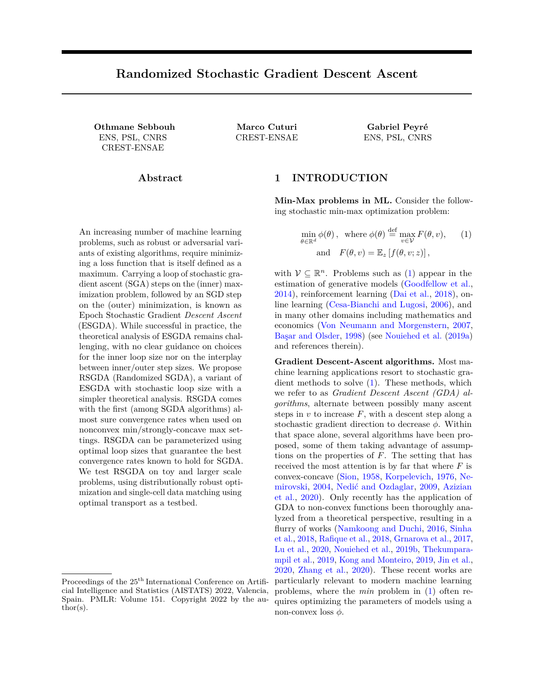Non-convex strongly concave optimization. We consider in this work the setting where F is nonconvex in , yet strongly concave and smooth inv. This setting is practically relevant since it appears in Temporal Dierence learning (Dai et al., 2018), robust optimization (Sinha et al., 2018), or entropic optimal transport (Cuturi, 2013). It is also theoretically appealing, since it has been shown that GDA algorithms achieve a complexity similar to singlevariable minimization, up to a factor depending on the conditioning of the problem (Sanjabi et al., 2018b, Nouiehed et al., 2019b, Lin et al., 2019, Qiu et al., 2020, Huang et al., 2020). For example, compared to the nonconvex-concave and nonconvex-nonconcave settings, one does not need to assume that the set in [\(1\)](#page-0-0) is bounded in order to ensure convergence.

In practice, one of the most widely used algorithms to solve [\(1\)](#page-0-0) is epoch stochastic gradient descent ascent (Goodfellow et al., 2014, Sanjabi et al., 2018a, Lin et al., 2019, Jin et al., 2020, Nouiehed et al., 2019b, Sanjabi et al., 2018b, Houdard et al., 2021), where we make an arbitrary xed number of stochastic gradient ascent steps followed by a gradient descent step. Unfortunately, there is very little understanding of the theoretical justi cations behind this method, leaving practitioners in the dark as to what guarantees they might expect from their parameter settings.

Our Contributions. In this work, we aim to quantify in the form of convergence rates and suggested parameter settings how much the practical choices are justied by theory. To this end, we propose Randomized Stochastic Gradient Descent Ascent (RS-GDA), a randomization of Epoch Stochastic Gradient descent ascent (ESGDA) which is more amenable to theoretical analysis and performs very similarly to ESGDA in practice. From a theoretical perspective, we show that RSGDA enjoys the best known convergence rates, which are also veri ed by one-step stochastic gradient descent ascent (Lin et al., 2019) and other variants (Huang et al., 2020, Qiu et al., 2020), and we demonstrate how the step sizes and number of gradient ascent steps should be set in order to retain these convergence guarantees. We evaluate our suggested parameter settings on problems from robust optimization and optimal transport: we consider (i) the problem of distributionally robust optimization (Sinha et al., 2018), where we aim to learn a classi er which is robust to adversarial inputs, and (ii ) the problem of single-cell data matching using regularized optimal transport (Schiebinger et al., 2019, Stark et al., 2020, Cuturi, 2013).

# 2 BACKGROUND

We present in this section relevant assumptions for analysis, and brie y review state of the art results.

#### 2.1 Assumptions

Smoothness and strong concavity. Throughout the paper, we assume thatF is smooth in both variables, and strongly concave in the second variable.

Assumption 2.1. We assume that F isL-smooth on  $R<sup>d</sup>$  and v 7!  $F$  (; v) is -strongly concave on V.

The smoothness and strong concavity of ensure that the function dened in  $(1)$  is smooth as well. Lemma 2.2 (Lemma 4.3 in Lin et al. (2019)). Let Assumption 2.1 hold. Let  $\stackrel{\mathsf{def}}{=} \stackrel{\mathsf{L}}{=}$ . De ne  $\mathsf{v} \; : \mathsf{R}^\mathsf{d}$  7!  $\mathsf{R}^\mathsf{n}$ by v ( ) =  $\argmax_{v_2 \in \mathbb{R}^n} F(v)$  for all 2  $\mathbb{R}^d$ . Then, v is -lipschitz and is 2L -smooth.

Assumptions on noise. We assume that the stochastic gradient in has bounded variance, which is standard in non-convex stochastic optimization.

Assumption 2.3. There exists  $2 > 0$  such that for all ( ;v ) 2  $R^d$  V,

$$
\begin{array}{cccc}\nh & i \\
E_z & k r & f(\; ; v \; ; z) & r & F(\; ; v)k^2 & 2:\end{array}
$$

For the stochastic gradient in v, we only assume that the noise is nite at the maximizer.

Assumption 2.4. Dene v ( )  $\stackrel{\text{def}}{=} \operatorname*{argmax}_{v_2 \in \mathbb{R}^n} f(v)$ . Let  $\sim^2 \frac{\text{def}}{\text{}} E_z$ h kr  $\begin{array}{c} \n\sqrt{f}(\sqrt{2}, \sqrt{2}) & \n\end{array}$  $< 1$  .

#### 2.2 Review of Gradient Descent Ascent Methods

Denitions. Let  $\frac{1}{2}$  > 0. We call 2  $R^d$  an approximate stationary point if  $kr$  ( ) $k$  : We call v a -approximate maximizer if for some  $2 \mathsf{R}^{\mathsf{d}}$  we have ( )  $F$  (; v)

SGDmax, SGDA and ESGDA. One of the most analyzed algorithms for solving min-max problems such as[\(1\)](#page-0-0) is (S)GDmax (Sanjabi et al., 2018a, Lin et al., 2019, Jin et al., 2020, Nouiehed et al., 2019b, Sanjabi et al., 2018b, Houdard et al., 2021), where at each iteration we make the number of (stochastic) gradient ascent steps necessary to reach a-approximate maximizer  $v_{k+1}$ , before making a descent step using the gradient r  $f(x, y_k)$ . See Alg. 1, SGD max .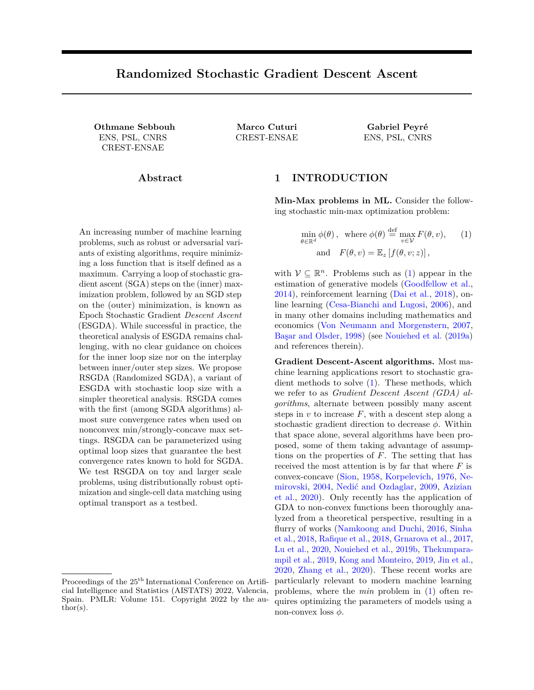To reach an -stationary point  $k$ , this algorithm requires O  $log(1=^2)^{2}$  (resp. O  $log(1=^3)^{3}$  4) total gradient computations in the deterministic (resp. stochastic) setting (Lin et al., 2019). In practice, however, because SGDmax involves a subroutine where we need to ensure that we reach an approximate maximizer, this algorithm is rarely implemented. It is instead approximated by ESGDA.

Algorithm 1 SGDmax/SGDA/ESGDA

```
Inputs: step sizes and , loop sizem, max-oracle
accuracy
for k = 0; 1; 2; ...; do
   SGDmax :
       Find v_{k+1} s.t. E_k [F(\frac{k}{k}; v_{k+1})] (\frac{k}{k+1}) +
   SGDA :
        Sample z_k^0 D
        v_{k+1} = v (v_k + r_v f (k, v_k; z_k^0))ESGDA :
       for t = 0; 1; 2; ...; m 1 do
            Samplez_k^t D
            v_k^{t+1} = \int_V (v_k^t + r_v f (k, v_k^t; z_k^t))end for
        V_{k+1} = V_{k+1}^0 = V_k^mSamplez_k D
     k+1 = k r f ( k ; V_{k+1} ; Z_k)
end for
```
At the other end of the spectrum is one-step Gradient Descent Ascent (Lin et al., 2019, Chen et al., 2020) (also referred to as GDA in the literature), in which one ascent step is followed by one descent step. See Alg. 1,SGDA . This algorithm has two important advantages compared with (S)GDmax: (a) it is simple: it doesn't require any inner ascent loop or stopping criteria, (b) it has better convergence rates:  $O \t{2}^2$  (resp.  $O \t{3}^3$   $4$ ) in the deterministic (resp. stochastic) setting.

In practice, instead of choosing a precision or running SGDA, one popular choice (Goodfellow et al., 2014, Sinha et al., 2018, Houdard et al., 2021) is using epoch stochastic gradient descent ascent (ESGDA), where we make a xed number of ascent steps on followed by a descent step on . See Alg. 1,ESGDA . The goal of the ascent steps is to have a good enough approximation of v  $( \kappa )$ , and hence of the gradient  $r \left( k \right)$ , in order to make a descent step on . Despite its popularity, we know little about the theoretical properties of ESGDA in the nonconvex-strongly concave setting. Yan et al. (2020) studies a version of ESGDA with an iteration dependent number of gradient ascent steps. The problem they consider F

weakly convex and strongly concave is inherently harder than the smooth nonconvex-strongly concave problem. The complexity of their method for nding a nearly stationary point is O <sup>4</sup>  $<sup>4</sup>$ , but to reach a</sup> stationary point, they still need O <sup>6</sup> iterations, even when their results are specialized to the smooth setting (See Prop. 4.11 in Lin et al. (2019) for the relation between stationarity and near stationarity). Chen et al. (2021) consider the harder problem of stochastic nested optimization (which includes bilevel and min-max optimization). They devise an algorithm (ALSET) with  $O<sup>4</sup>$  complexity when the epoch size is (). But they assume that their function and its hessian are both lipschitz, whereas the analysis of SGDA only requires that the gradients are lipschitz.

Despite the popularity of ESGDA, to the best of our knowledge, there is no theoretical analysis ensuring that this algorithm converges under the same conditions as SGDA and SGDmax. In this work, we aim to support practical implementation choices of ESGDA with solid theory, and in turn suggest new parameter settings to further improve how ESGDA is implemented.

Motivating RSGDA. RSGDA is a randomized version of ESGDA with a stochastic loop size. Empirically, RSGDA performs similarly to ESGDA (Fig. 1), but its theoretical analysis is simpler, thanks to its inner-loop free structure. This is showcased in Prop. 3.1, our central result, a descent inequality (up to additional noise terms), from which we draw several conclusions. First, we derivealmost sure convergence rates for RSGDA (Cor. 3.2). Then, we show that, like SGDA, RSGDA enjoys the best known convergence rates in expectation among stochastic gradient descent ascent algorithms (Cor. 3.8). Importantly, for each of our convergence results, we determine (i) a range of descent step probabilities that guarantees the best possible convergence rate, and (ii) how the step sizes should be set depending on p.

# 3 RANDOMIZED STOCHASTIC GRADIENT DESCENT ASCENT

We now introduce RSGDA (Alg. 2) in detail. At each iteration k, we toss a coin: if it lands heads (with probability 1 p), we keep  $_{k}$  xed and make an ascent step onv $_k$  along the stochastic gradient  $r_y f(x_k; v_k; z_k)$ , where  $z_k$  D (or a projected ascent step if  $V \oplus R^n$ ); if it lands tails (with probability p), we keepv<sub>k</sub> xed and make a descent step along the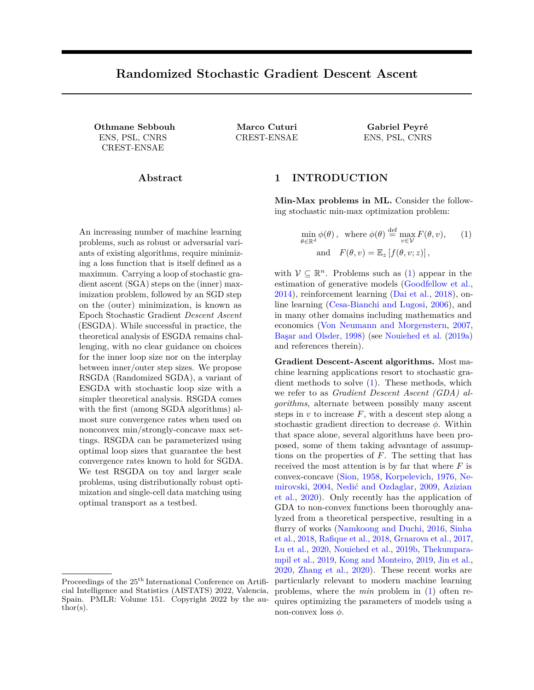stochastic gradient r f ( $_k$ ;  $v_k$ ;  $z_k$ ). The algorithm can also be seen as a version of ESGDA where the size of the inner loopm is stochastic and equal to 1=p 1 in expectation.

Algorithm 2 Randomized SGDA

| Initialisation: $v_0$ 2 R <sup>n</sup> ; 0 2 R <sup>d</sup> | Inputs: step sizes( $_{k}$ ) <sub>k</sub> and ( $_{k}$ ) <sub>k</sub> , p 2 (0; 1).  |
|-------------------------------------------------------------|--------------------------------------------------------------------------------------|
| for $k = 0; 1; 2; \ldots;$ do                               |                                                                                      |
| $Samplez_k$ D                                               |                                                                                      |
|                                                             |                                                                                      |
|                                                             | $v_k^+ = k$ k T $f(k; v_k; z_k)$<br>$v_k^+ = v (v_k + k r v f (k; v_k; z_k)))$       |
| $(k_{+1};v_{k+1}) =$                                        | $\begin{array}{cc} ( k^+; v_k ) & w. p. p \\ ( k^+; v_k^+ ) & w. p. 1 p \end{array}$ |
| end for                                                     |                                                                                      |

From a stochastic optimization perspective, this randomization trick is reminiscent of the way Loopless SVRG (Stochastic Variance Reduced Gradient) (Hofmann et al., 2015, Kovalev et al., 2020) avoids using the inner loop of the original SVRG method (Johnson and Zhang, 2013). Like for Loopless SVRG and SVRG, RSGDA results in a much simpler analysis than for ESGDA.

This is apparent through Prop. 3.1, in which we establish a one-step recurrence inequality which is central to deriving our convergence results.

Proposition 3.1. Consider the iterates of Alg. 2. Let Assumption  $2.1$  hold. Let  $p 2 (0, 1)$  and dene for all k 2 N,

$$
D_k =
$$
 (  $k$ ) min  $2R^d$  ( );  $r_k = kv$  (  $k$ )  $v_k k^2$ ;  
and  $E_k = D_k + L \frac{p_k}{(1-p)k} r_k$ :

Let  $(\kappa)_k$  and  $(\kappa)_k$  be two positive decreasing sequences such that  $\frac{k}{k}$  is decreasing as well, with

$$
k \quad \frac{1}{2L} \text{ and } k \quad \frac{\sum_{k=1}^{k} (1-p) k}{p(2p + (1-p) k)}.
$$
 Then,  
\n
$$
p_{k}kr \quad (k)k^{2} + 2E_{k}[E_{k+1}] \quad 2E_{k} + 4 k p_{k} L \sim^{2}
$$
\n
$$
+2^{2} p_{k}^{2} L + \frac{p^{2}(2p + (1-p) k)^{-3} \frac{3}{k}^{4}}{(1-p)^{2} \frac{2}{k}}.
$$
\n(2)

Almost sure convergence rates. Establishing the recurrence inequality of Prop. 3.1 is key to deriving almost sure convergence results in stochastic optimization (Bertsekas and Tsitsiklis, 2000, Gadat et al., 2018, Sebbouh et al., 2021), where one can directly

Figure 1: We use RSGDA (Alg. 2) and ESGDA (Alg. 1) on the minmax problem described in  $\tilde{Y}4.1$ . This gure shows that ESGDA with a given loop size m and RSGDA with  $p = 1 = (m + 1)$  perform similarly. The objective is dened in  $(5)$ .

apply the Robbins-Siegmund theorem (Robbins and Siegmund, 1971). In contrast, it is unclear how almost sure convergence rates can be derived for ESGDA.

Similar to what was done in Sebbouh et al. (2021) for SGD, we can use this lemma and Prop. 3.1 to derive small-o almost sure convergenceates for RSGDA. To the best of our knowledge, these are the rst such rates for a gradient descent ascent algorithm.

Corollary 3.2. Consider the setting of Prop. 3.1. We have that

min t =0 ;:::;k 1 kr ( <sup>t</sup>)k 2 = o 1 P <sup>k</sup> <sup>1</sup> t =0 t a.s: (3)

!

as long as the step sizes<sub>k</sub> and  $k$  verify

$$
X_{k} = 1; \n\begin{array}{ccc}\n & X & 2 & 2 & 1 \\
 & k & k & \\
 & k & k & \frac{3}{2} & 2 \\
 & k & k & \frac{1}{2} & 2 \\
 & k & k & k\n\end{array} \tag{4}
$$

Let > 0 and take for all k 2 N,  $_{k} = \frac{1}{2L(k+1)^{2=5+}}$ and  $k = \frac{p}{2} \frac{1}{2} p^2$  $\frac{1}{2}P\frac{1}{p(2p+(1-p))_{k}}\frac{k}{2(k+1)^{-1.5}},$  we have that the step sizes verify(4) and

$$
\min_{t=0;\dots;k} \text{ kr } (\text{ t})k^2 = \text{ o } k^{\frac{2}{5}+} \text{ almost surely}
$$

Remark 3.3. Using the same analysis, it is also possible to show that using the exact gradients, Randomized GDA converges almost surely at  $\omega(k^{-1})$ rate. Indeed, in that setting,  $2 = x^2 = 0$  and any constant step sizes;  $> 0$  verify conditions  $(4)$ . Substituting in (3) gives the desired rate.

Convergence rates in expectation. In the remainder of this section, we establish convergence rates in expectation for Randomized GDA (where we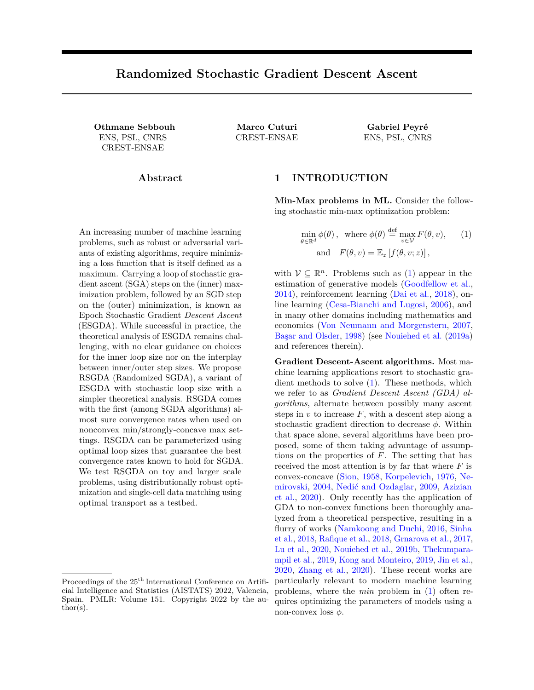use the exact gradient at each iteration) and RSGDA (where we use stochastic gradients). The rates we recover are similar to the best that can be derived for GDA and SGDA (Lin et al., 2019). The interest of the results we present is that(i) we show that it is possible to do more gradient ascent steps and retain the same complexity as SGDA, and we quantify this by determining a range of values ofp for which we have this complexity, (ii) we highlight the e ect of changing the probability p on the step sizes, and (iii) we show that taking  $p = 1=2$  doesn't result in a diverging algorithm; instead the convergence rate is worse by a factor which is an increasing function of p, so that the strategy of making moderately more descent steps than ascent steps is worth exploring depending on the application.

#### 3.1 Randomized GDA (RGDA)

We rst consider RGDA, a version of Alg. 2 where we use the exact gradientsj.e. where the only randomness in the algorithm comes from the coin tosses governed by the probability p. This is the randomized equivalent of Epoch GDA.

Corollary 3.4. Consider the setting of Prop. 3.1. Let for all k 2 N,  $_k = \frac{1}{2L}$  and  $_k =$ (1 p)  $\frac{(1-p)}{4^2}$  p  $\frac{1}{2(n-1)}$  $\frac{1}{\sqrt[p(2p+\frac{1-p}{2})}$ . Then, for all p 2  $^{-1};\frac{1}{2}$  , we have that

$$
\lim_{t=0;\dots;k} \frac{h}{1} E \text{ kr } (t) k^2 = O^{-2} k^{-1} :
$$

Hence, nding an -stationary point requires at most O( $2$   $2$ ) iterations for all p 2  $1:\frac{1}{2}$ .

Remark. The value 1=2 of the upper bound on p is arbitrary, and any constant higher than 1=2 but independent of still ensures the same complexity.

We draw two important insights from this corollary:

(a) Flexibility to the choice of  $p$ . RGDA admits a range of values ofp for which we have the same order of complexity. In particular, with  $p = 1=2$ , we recover the same convergence rate for GDA which was derived in Lin et al. (2019), with better constants, as highlighted in the appendix.

(b) Suggested choice of step sizes. It is known from Lin et al. (2019) that the step sizes and need to verify the following relation:  $=$  $=$   $2$ . How should the step sizes change when we make more ascent steps? Since  $2$  [1=; 1=2] gives the tightest convergence rate, let us consider the case where is in this range. In this setting, Cor. 3.4 shows that the relation should be  $=$  $=$  p<sup>2</sup>. Hence, there is a

linear relation between the descent step size and= $p$ : the lower p, i.e. the more ascent steps we make, the higher should be.

We can draw similar conclusions in the stochastic setting as well, but with dierent ranges for p and dierent choices for the step sizes.

# 3.2 Randomized SGDA (RSGDA)

We now consider RSGDA, where we use stochastic gradients instead of deterministic ones. This is the randomized version of Epoch SGDA.

Decreasing Step Sizes. As is the case for SGD, without additional structure on the objective F , we can only guarantee theanytime convergence(without knowledge of the last iteration or the required precision) of RSGDA if we use decreasing step sizes.

Corollary 3.5. Consider the setting of  
\nProp. 3.1. Let 
$$
k = \frac{1}{2L(k+1)^{2-5}}
$$
 and  
\n $k = \frac{p}{2^L \frac{1}{p(2p+(1-p))}} \frac{k}{2(k+1)^{1-5}}$ . Then,  
\n
$$
\min_{t=0; \dots; k-1} kr \quad (\frac{1}{t})k^2 = O \log(k)k^{-2-5}
$$
:

The previous corollary presented the parameter settings that resulted in the best rate when using decreasing step sizes. We have used the notation for brevity even though the result is non-asymptotic. A complete version of this corollary, including the explicit bound, can be found in the appendix.

RSGDA With Fixed Step Sizes. In practice, it is often the case that stochastic gradient algorithms are implemented using a xed step size.

Corollary 3.6. Consider the setting of Prop. 3.1. Let  $> 0$ . With suitable choices of step sizes, if k  $^3$   $^5$  , then min $_{\mathsf{t}=0}$  ;:::;k  $_{1}$  E [kr  $\left(\begin{array}{c} \mathrm{t} \end{array}\right)$ k] . Moreover, for all p 2  $\frac{1}{2}$ ;  $\frac{1}{2}$ , the complexity is still  $O^{3 \t3 \t5}$  .

We give the explicit values for the step sizes and the complexity in the appendix. In this corollary, we recover the complexity given without proof in Lin et al. (2019) when using  $p = 1 = 2$ , but we extend their result to a larger number of ascent steps (instead of a single one). Note that the step sizes rely on some quantities that are generally impossible to obtain, like . As is the case for SGD, without knowledge of this constant and using constant step sizes, it is possible to guarantee only sublinear convergence towardshe neighborhoodof a solution (see e.g. (Gower et al., 2019)).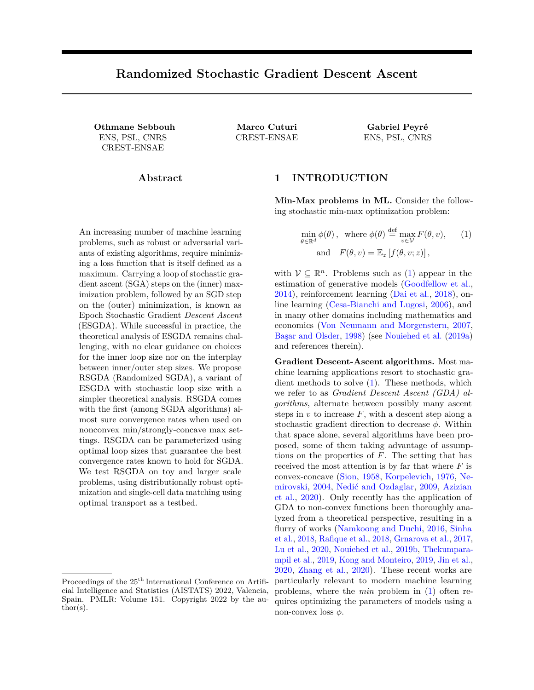RSGDA With Large Batch Sizes. The best known complexity for SGDA is  $Q^{3}$ <sup>4</sup> (Lin et al., 2019), and it is obtained using xed step sizes and large minibatch sizes. In the following corollary, we show that the same rate can be recovered for RSGDA using large minibatch sizes. As done in the previous corollaries, we also give the range of values of which give the same rate. Following Lin et al. (2019), we assume that all stochastic gradients have bounded variance in this setting.

Assumption 3.7. There exists  $2 > 0$  such that for all ( ;<code>v</code>) 2  $R^d$   $V$  ,

Ez h kr f (; v ; z) r F (; v )k 2 i 2 Ez h kr <sup>v</sup> f (; v ; z) r <sup>v</sup>F (; v )k 2 i 2 :

Corollary 3.8 (Large minibatch sizes). Consider the setting of Prop. 3.1. Let Assumption 3.7 hold and choosep 2  $[\frac{1}{2}; \frac{1}{2}]$ . Using the step sizes of Cor. 3.4 and a su ciently large minibatch size, the total number of stochastic gradient evaluations to reach an -stationary point is  $O<sup>3</sup> <sup>4</sup>$ .

Discussion about other values of p. Note that Prop. 3.1 and the subsequent corollaries allow for any value of p in (0; 1) and still guarantee the convergence of RSGDA, albeit with an additional factor in the convergence rates (See Appendix). This suggests tuning p to values that are moderately larger than 1=2, and we would still expect RSGDA to perform almost as well as with values ofp in the range which gives the best convergence rates. In applications where descent steps are cheaper than ascent steps, problem we consider (Sinha et al., 2018). this strategy is sound.

#### 3.2.1 Interpolation Setting

We consider using RSGDA in a more favorable setting, where the maximization problem is easier, as in the interpolation case, when F is a nite-sum and  $\sim^2 = 0$ .

Assumption  $3.9$  (Interpolation). For all (; v) 2  $R^{d}$   $R^{n}$ ;  $F(jv) = \frac{1}{n}$  $\sum_{i=1}^{n} F_i(:,v)$ , where for all i 2 [n],  $F_i$  veri es Assumption 2.1 and for all 2  $R^d$ , there exists v () 2  $R<sup>n</sup>$  such that for all i 2 [n],  $r_v F_i$  (; v () = 0.

Note that we do not assume that  $2 = 0$ , which, by Assumption 2.3, would have implied, fori 2 [n] and  $(y)$  2  $R^{d}$  R<sup>n</sup> that r F<sub>i</sub> $(y)$  = r F(; v).

From an optimization perspective, this setting has been explored in many works on SGD (Vaswani et al., 2019a,b, Loizou et al., 2021, Sebbouh et al., 2021),

where it was shown that if the two previous assumptions are veri ed (for the single-variable objective), SGD has the same convergence rate as Gradient Descent. This setting has also recently been studied for bilinear minimax optimization (Li et al., 2021),

The next result shows that in that setting, RSGDA converges at the improved rate of  $O$   $2^{4}$  (versus  $O<sup>3</sup>$ <sup>4</sup>), without requiring large batch sizes.

Corollary 3.10. Consider the setting of Proposition 3.1 and let Assumption 3.9 hold. Let  $k = 1 = (2L)$  for all k 2 N.

- Almost sure convergence. Let > 0 and  $k = 0$   $\frac{1}{2(k+1)^{-1-2+}}$  . Then, min t =0 ;:::;k 1 kr (  $_k$  ) $k^2$  $= 0$  k <sup>1=2+</sup> a.s.
- Anytime convergence in expectation. Let  $k = 0 - 2$ p Then, min t =0 ;:::;k 1 E kr  $(k)k^2$ i = O log( k ) p <u>νg(κ)</u> :<br>k+1 :
- Convergence in expectation for a given precision. With a suitable choice of , if  $p \ 2 \ \ \ \frac{1}{2} \ \ \text{and} \ \ k$  $2<sup>4</sup>$ , then  $\begin{array}{cc} \mathsf{min} & \mathsf{E}\begin{bmatrix} \mathsf{kr} & \left( \begin{array}{c} \mathsf{k} \end{array} \right) \mathsf{k} \end{array} \end{array}$

By setting  $\sim^2$  = 0, all these results can be derived from Prop. 3.1 in a similar fashion to the previous corollaries. As an illustration of these results, we apply our method to distributionally robust optimization in  $\overline{Y4.1}$ , where Assumption 3.9 holds for the

# 4 APPLICATIONS

To illustrate our results, we consider two nonconvex strongly concave problems: distributionally robust optimization (Sha eezadeh-Abadeh et al., 2015, Kuhn et al., 2019) and learning with a Sinkhorn loss (Genevay et al., 2018).

### 4.1 Distributionally Robust Optimization

The goal of distributionally robust optimization is to learn machine learning models which are robust to changes in the distribution of test data compared to training data. Consider a training dataset  $D \stackrel{\text{def}}{=} f(x_1; y_1); \dots; (x_n; y_n)g \quad R^{p+q}$ 1, and suppose we want to learn a robust classi er from a parametric family f : R<sup>p</sup> 7! R<sup>q</sup>; 2 R<sup>d</sup> . Sinha et al. (2018) showed that one way to do so is to solve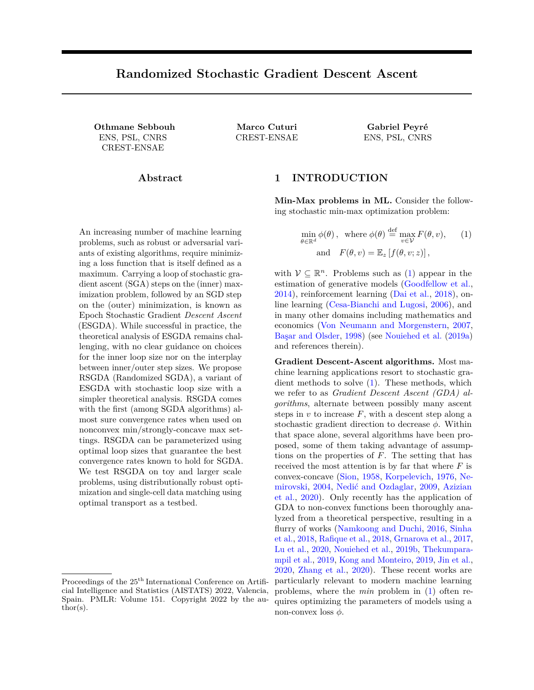:

Figure 2: Training loss (5) when using RSGDA.  $= 10$ . We study the e ect of the descent step size and the descent probability p.

the following optimization problem:

$$
\min_{2\,\mathrm{R}^d} \quad (\quad ) \quad \mathsf{F} \quad (\, ;v \,); \tag{5}
$$

$$
F(\ ;v)=\max_{\substack{v=[\ v_1];\ ... \ v_n]\; \Pi \\ 2\,R^{pn}}} \frac{1}{n}\sum_{j=1}^{N^n}\ (f\ (v_j);y_j)\qquad kv_j\quad x_j\,k^2
$$

where  $\hat{ }$  : R<sup>p</sup> R<sup>q</sup> 7! R is the loss function. Intuitively, the inner maximization problem requires that we nd the (adversarial) inputs f v<sub>i</sub> g<sub>i</sub> that maximize the loss, while minimizing the average distance to the original inputs  $f x_i g_i$ . The hyperparameter controls the trade-o between these two objectives. A low allows the classier to be robust to adversarial perturbations, but sacrices model accuracy on training data. A high

ensures that the model performs well on training data, but sacrices robustness. Sinha et al. (2018) showed that for large enough, solving this problem is nonconvex strongly concave. Moreover, we also have that Assumption  $3.9$  is veri ed.

Lemma 4.1 (Sinha et al. (2018)). Consider F dened in (5). Assume that (; v) 7! `(f; (v<sub>j</sub>; y<sub>j</sub>)) is smooth for all (; v; y ) 2  $R^{d}$   $R^{pn}$   $R^{q}$ , and that the noise assumption 2.3 holds. Then for a large enough , F veri es Assumption 2.1. Moreover, since F is

separable in each coordinate $v_j$  2 R<sup>d</sup>; j 2 [n], we have that Assumption 3.9 is veri ed.

Application To MNIST. We reproduce the setting of Sinha et al. (2018) for the MNIST dataset and concentrate on the optimization aspect of their procedure. For the experiment to still be meaningful, we only considered the models which resulted in higher than 98% validation accuracy. As done by Sinha et al.  $(2018)$ , we set = 1:3 and choosef to be a CNN with smooth ELU activations. More details on the exprimental settings can be found in the Appendix. Contrary to Lin et al. (2019), we report the loss of  $interest$  ( ) in order to better assess the eect of the parameter settings.

Fig. 2 shows the performance of RSGDA (Alg. 2) on Problem (5) with various parameter settings. We use minibatch RSGDA and set the ascent step size  $= 10$ . We noticed that further tuning this hyperparameter had less impact than and p on the performance of RSGDA. For each probability p, we display the step size that resulted in the lowest training loss. For all experiments with  $p = 0.5$ , choosing  $> 0.25$  led the model to diverge or result in a low validation accuracy. As predicted by theory, decreasing descent probability allows to take larger step sizes  $\phi = 0.25$ ; = 0:3) and results in faster optimization, but decreasingp too much  $(p = 0.1)$  leads to a slow algorithm, as is updated less often. Further increasing the step size when  $p = 0:1$  makes RSGDA diverge.

#### 4.2 Learning with a Sinkhorn Loss

The second application we consider is that of learning with a semi-dual Sinkhorn loss (Cuturi and Peyré, 2018, Kitagawa et al., 2019). We establish that this problem is indeed nonconvex-strongly concave. Then, inspired by Schiebinger et al. (2019), Stark et al. (2020), we apply semi-dual optimal transport to a single-cell data integration problem using RSGDA. But rst, let us recall the de nition of the regularized OT loss between two measures (Cuturi, 2013).

Regularized OT Loss. Let X and Y be two metric spaces. Consider two probability measures  $( ; ) 2 P(X) P(Y)$  and let  $> 0$ . The regularized OT metric between these two measures is given by

$$
W ( ; ) \stackrel{\text{def}}{=} \min_{\substack{2 \text{odd } \\ \text{long}}} C(x; y) d (x; y)
$$
  
+ 
$$
\log \frac{d (x; y)}{d (x) d (y)} d (x; y):
$$

where  $c : X \ Y$  7!  $R_{+}$  is the cost to move a unit of mass from x to y,  $( ; ) =$ f 2 P (X) P (Y): P<sub>1]</sub> = ;P <sub>2]</sub> = g, and  $P_1(x; y) = x$  and  $P_2(x; y) = y$  are projection operators. With  $X = Y$ ,  $d_X$  a metric on X, and  $c = d_X^p$ , we have that  $W_0^{1=p}$  de nes a distance on P(X). Unfortunately, computing  $W_0$  is too costly in most applications, which justi es using the regularized OT loss with > 0. Fortunately, when one of the measures is discrete, we can express  $( ; )$ as a nite-dimensional stochastic maximization problem (Genevay et al., 2016). Consider<sub>p</sub>a dataset  $Y_n = fy_1; \dots; y_n g \quad Y \text{ and let } = \frac{1}{n} \int_{j=1}^{n} y_j.$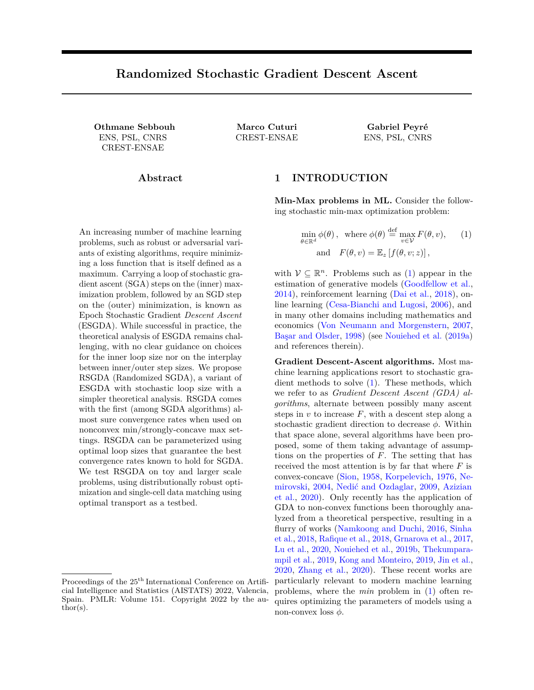Figure 3: t-SNE embeddings of the point cloud  $\overline{k}$  (7) along the iterations of RSGDA (p = 0:9).

Figure 4: Loss W  $($  ;  $_{k}$   $)$  (7) when using RSGDA vs. Sinkhorn's algorithm, depending on the descent probability p (for RSGDA) or the number of iterations  $m<sub>sin</sub>$  of Sinkhorn's algorithm. = 5.

Then,

W ( ; ) = 
$$
\max_{v \ge R^n} E_x
$$
 [h(x; v)]; where (6)  
\n0  
\nh(x; v)  $\stackrel{def}{=} \frac{x^n}{n} \xrightarrow{v_j} \log \frac{x^n}{e} \xrightarrow{exp \frac{v_j - c(x; y_j)}{n}} A$  :

Learning With a Semi-discrete Sinkhorn Loss is a Nonconvex Strongly Concave Problem. Consider the task of learning a parametric map from observed dataY<sub>n</sub> = f y<sub>1</sub>;:::; y<sub>n</sub> g Y . Given a probability space Z and a possibly continuous distribution 2 P (Z ), we may want to solve one of two problems:

$$
\begin{array}{ccc} & 0 & 1 \\ \min_{2R^d} W & \mathcal{Q}(f)_{j} \; ; \; \frac{1}{n} \int_{y_{j}}^{N} A & \max_{v_{2R^n}} E_{z} \left[ h(f(z); v) \right] ; \\ 0 & 1 \\ \text{or} & \min_{2R^d} W & \mathcal{Q} \; ; \; \frac{1}{n} \int_{j=1}^{N} f(y_{j}) A =: W \; ( ; \quad ) \; ; \; (7) \end{array}
$$

where f  $2$  f  $\circ$  : Z 7! X ;  $0$  2 R<sup>d</sup> . An instance of the rst problem is learning generative models (Genevay et al., 2018, Houdard et al., 2021), where one wants to t f to the dataset  $Y_n$ . There, is

typically a Gaussian in a low-dimensional space, and  $Y_n$  is for example a dataset of images. An instance of the second problem is single-cell data matching, which we present later in this section. Using the formulation  $(6)$  of W, we can express both problems as nite dimensional stochastic min-max problems. We now show that these problems are indeed nonconvex strongly concave.

Proposition 4.2. De ne for all  $(y)$  2 R<sup>d</sup> R n ;  $F$ (; v) =  $E_z$  [h(f (z); v)]. Assume that for all z 2 Z, 7!  $c(g_z( ); y)$  is lipschitz continuous and smooth, and that y 7!  $c(g_z($  ); y) is lipschitz-continuous almost surely for all (; y) 2  $R<sup>d</sup>$  Y . Then, there exists V R<sup>n</sup> such that F veri es Assumptions 2.1, 2.3 and 2.4 on  $R^d$  V and () = max<sub>v2V</sub> F(; v) for all 2  $\mathsf{R}^\mathsf{d}$ .

A similar result can be proved for (7) (see App. for proof of Lem. 4.2). This result is of independent interest for OT practitioners since combining Lem. 4.2 with our convergence results in  $\overline{Y3}$ , we extend (Sanjabi et al., 2018a) to the semi-discrete setting, and we give stronger theoretical guarantees than those in (Houdard et al., 2021) when using GDA algorithms for learning with a semi-discrete Sinkhorn loss.

Single-cell Genomic Data Matching. We consider the single cell melanoma tumor dataset from (Stark et al., 2020). Patient data is analyzed using two di erent technologies, scRNA and CyTOF, resulting in two point clouds of dierent sample sizes and dimensions. The goal is to integrate both datasets in order to understand the correspondances between technologies, and obtain a unied analysis on larger sample sizes. We denote the CyTOF point cloud as f  $x_1$ ; $\dot{p}$ ::; $x_m$ g R<sup>41</sup>; m = 135334, and dene =  $\frac{1}{m}$  $p\cdot p\cdot s$  m  $m$ <br> $\sum_{n=1}^{\infty}$   $x_1$ , and the scRNA one as fy<sub>1</sub>;:::;y<sub>n</sub>g  $R^{1024}$ ; n = 4683, and dene =<br> $\frac{1}{4}$ , heread of embedding both point cloud  $\frac{1}{n}$   $\frac{1}{n}$   $\frac{1}{3}$   $\frac{1}{3}$   $\frac{1}{3}$  in another low-dimensional space as done in Stark  $\int_{j=1-y_j}^{n}$  . Instead of embedding both point clouds et al. (2020), we aim to map the point cloud directly into via a multilayer perceptron (MLP), namely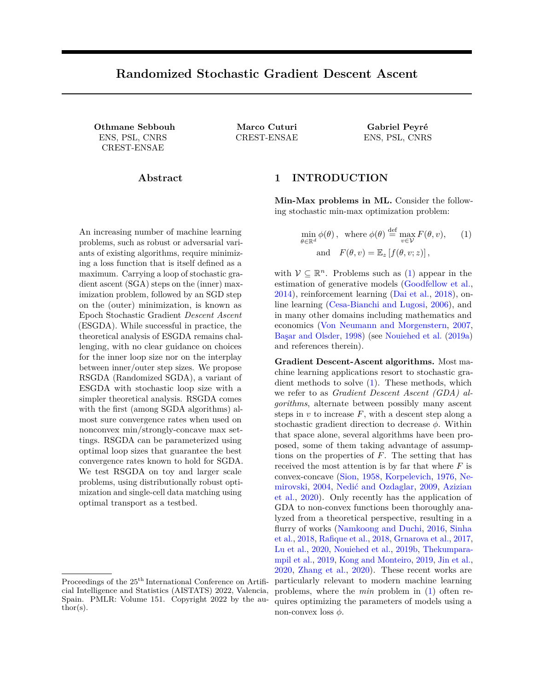solve  $(7)$ , where f is an MLP. We compare minibatch RSGDA (where we sample from ) against Sinkhorn's algorithm (the most widely used approach to compute W ) with minibaching (Cuturi, 2013) in Fig. 4. Details on the architecture and on Sinkhorn's algorithm are provided in the appendix (see also Genevay et al. (2018)). Using a single iteration of Sinkhorn's algorithm resulted in the best performance for this algorithm: due to the bias introduced by using Sinkhorn's algorithm on minibatches (Fatras et al., 2020), increasing the number of iterations resulted in an increasingly biased gradient direction for the descent step. For RSGDA, we found that increasing the descent probability resulted in a faster algorithm up to the value  $p = 0:95$ , after which the algorithm is slower than  $p = 0.5$ . On this problem, decreasing p below 0:5 was not benecial, despite increasing the descent step size. Using t-SNE embeddings (Van der Maaten and Hinton, 2008), we also display in Fig. 3 the evolution of  $\lambda_{k}$  for the best run of RSGDA with  $p = 0:9$ .

Conclusion. We have presented RSGDA, a randomized version of Epoch Stochastic Gradient Descent Ascent, a popular method for solving minmax optimization problems in machine learning. We showed empirically that RSGDA performs similarly to ESGDA, and demonstrated theoretically that RSGDA enjoys the same theoretical properties as Stochastic Gradient Descent Ascent (Lin et al., 2019), a method which is well grounded in theory. We also provided practical parameter settings, which we tested numerically on a distributionally robust optimization problem and single-cell data integration using optimal transport.

# Acknowledgements

The work of Gabriel Peyré and Othmane Sebbouh was supported in part by the French government under management of Agence Nationale de la Recherche as part of the Investissements d'avenir program, reference ANR19- P3IA-0001 (PRAIRIE 3IA Institute). Gabriel Peyré also acknowledges support from the European Research Council (ERC project NORIA). Othmane Sebbouh also acknowledges the support of a Chaire d'excellence de l'IDEX Paris Saclay. The authors thank Pierre Ablin, Michael Sander and Mathieu Blondel for valuable feedback and discussions.

# References

- Azizian, W., Mitliagkas, I., Lacoste-Julien, S., and Gidel, G. (2020). A tight and uni ed analysis of gradient-based methods for a whole spectrum of dierentiable games. In International Conference on Arti cial Intelligence and Statistics, pages 2863 2873. PMLR. 1
- Bandura, D. R., Baranov, V. I., Ornatsky, O. I., Antonov, A., Kinach, R., Lou, X., Pavlov, S., Vorobiev, S., Dick, J. E., and Tanner, S. D. (2009). Mass cytometry: technique for real time single cell multitarget immunoassay based on inductively coupled plasma time-of-ight mass spectrometry. Analytical chemistry, 81(16):6813 6822. 28
- Ba<sup>3</sup>ar, T. and Olsder, G. J. (1998). Dynamic noncooperative game theory SIAM. 1
- Bertsekas, D. P. and Tsitsiklis, J. N. (2000). Gradient convergence in gradient methods with errors.SIAM Journal on Optimization, 10(3):627 642. 4
- Cesa-Bianchi, N. and Lugosi, G. (2006).Prediction, learning, and games Cambridge university press. 1
- Chen, T., Sun, Y., and Yin, W. (2021). Tighter analysis of alternating stochastic gradient method for stochastic nested problems. arXiv preprint arXiv:2106.13781. 3
- Chen, Z., Zhou, Y., Xu, T., and Liang, Y. (2020). Proximal gradient descent-ascent: Variable convergence under kª geometry. InInternational Conference on Learning Representations 3
- Cuturi, M. (2013). Sinkhorn distances: Lightspeed computation of optimal transport. Advances in neural information processing systems 26:2292 2300. 2, 7, 9
- Cuturi, M. and Peyré, G. (2018). Semidual regularized optimal transport. SIAM Review, 60(4):941 965. 7
- Dai, B., Shaw, A., Li, L., Xiao, L., He, N., Liu, Z., Chen, J., and Song, L. (2018). Sbeed: Convergent reinforcement learning with nonlinear function approximation. In International Conference on Machine Learning, pages 1125 1134. PMLR. 1, 2
- Fatras, K., Zine, Y., Flamary, R., Gribonval, R., and Courty, N. (2020). Learning with minibatch wasserstein: asymptotic and gradient properties. In International Conference on Arti cial Intelligence and Statistics, pages 21312141. PMLR. 9, 29
- Gadat, S., Panloup, F., and Saadane, S. (2018). Stochastic heavy ball. Electronic Journal of Statistics, 12(1):461529. 4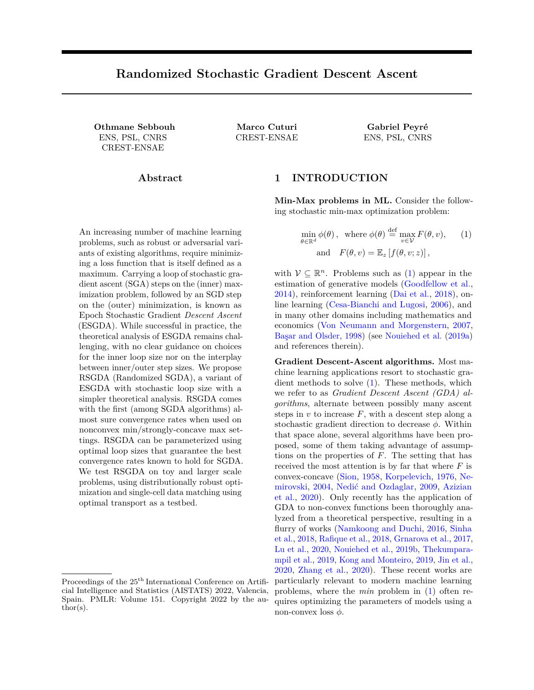- Genevay, A., Chizat, L., Bach, F., Cuturi, M., and Peyré, G. (2019). Sample complexity of sinkhorn divergences. InThe 22nd International Conference on Articial Intelligence and Statistics , pages 1574 1583. 25
- Genevay, A., Cuturi, M., Peyré, G., and Bach, F. (2016). Stochastic optimization for large-scale optimal transport. Advances in Neural Information Processing System, spages 3440 3448. 7, 22
- Genevay, A., Peyré, G., and Cuturi, M. (2018). Learning generative models with sinkhorn divergences. In International Conference on Arti cial Intelligence and Statistics, AISTATS 2018, pages 1608 1617. 6, 8, 9
- Goodfellow, I., Pouget-Abadie, J., Mirza, M., Xu, B., Warde-Farley, D., Ozair, S., Courville, A., and Bengio, Y. (2014). Generative adversarial nets. In Advances in Neural Information Processing Systems, volume 27. 1, 2, 3
- Gower, R. M., Loizou, N., Qian, X., Sailanbayev, A., Shulgin, E., and Richtárik, P. (2019). Sgd: General analysis and improved rates. InInternational Conference on Machine Learning pages 5200 5209. 5, 16
- Grnarova, P., Levy, K. Y., Lucchi, A., Hofmann, T., and Krause, A. (2017). An online learning approach to generative adversarial networks.arXiv preprint arXiv:1706.03269. 1
- Hendrycks, D. and Gimpel, K. (2016). Gaussian error linear units (gelus). arXiv preprint arXiv:1606.08415. 28
- Hofmann, T., Lucchi, A., Lacoste-Julien, S., and McWilliams, B. (2015). Variance reduced stochastic gradient descent with neighbors. Advances in Neural Information Processing Systems 28:2305 2313. 4
- Houdard, A., Leclaire, A., Papadakis, N., and Rabin, J. (2021). On the existence of optimal transport gradient for learning generative models. arXiv preprint arXiv:2102.05542. 2, 3, 8
- Huang, F., Gao, S., Pei, J., and Huang, H. (2020). Accelerated zeroth-order and rst-order momentum methods from mini to minimax optimization. arXiv preprint arXiv:2008.08170. 2
- Jin, C., Netrapalli, P., and Jordan, M. (2020). What is local optimality in nonconvex-nonconcave minimax optimization? In International Conference on Machine Learning, pages 4880 4889. PMLR. 1, 2
- Johnson, R. and Zhang, T. (2013). Accelerating stochastic gradient descent using predictive vari-

ance reduction. Advances in neural information processing systems26:315 323. 4

- Kitagawa, J., Mérigot, Q., and Thibert, B. (2019). Convergence of a newton algorithm for semidiscrete optimal transport. Journal of the European Mathematical Society, 21(9):2603 2651. 7
- Kong, W. and Monteiro, R. D. (2019). An accelerated inexact proximal point method for solving nonconvex-concave min-max problemsarXiv preprint arXiv:1905.13433. 1
- Korpelevich, G. M. (1976). The extragradient method for nding saddle points and other problems. Matecon, 12:747 756. 1
- Kovalev, D., Horváth, S., and Richtárik, P. (2020). Don't jump through hoops and remove those loops: Svrg and katyusha are better without the outer loop. In Algorithmic Learning Theory , pages 451 467. PMLR. 4
- Kuhn, D., Esfahani, P. M., Nguyen, V. A., and Shaeezadeh-Abadeh, S. (2019). Wasserstein distributionally robust optimization: Theory and applications in machine learning. In Operations Research & amp; Management Science in the Age of Analytics, pages 130 166. INFORMS. 6
- Li, C. J., Yu, Y., Loizou, N., Gidel, G., Ma, Y., Roux, N. L., and Jordan, M. I. (2021). On the convergence of stochastic extragradient for bilinear games with restarted iteration averaging. arXiv preprint arXiv:2107.00464. 6
- Lin, T., Jin, C., and Jordan, M. I. (2019). On Gradient Descent Ascent for Nonconvex-Concave Minimax Problems. arXiv preprint arXiv 1906.00331. 2, 3, 5, 6, 7, 9, 20
- Loizou, N., Vaswani, S., Laradji, I. H., and Lacoste-Julien, S. (2021). Stochastic polyak step-size for sgd: An adaptive learning rate for fast convergence. In International Conference on Arti cial Intelligence and Statistics pages 1306 1314. PMLR. 6
- Lu, S., Tsaknakis, I., Hong, M., and Chen, Y. (2020). Hybrid block successive approximation for onesided non-convex min-max problems: algorithms and applications. IEEE Transactions on Signal Processing 68:3676 3691. 1
- Namkoong, H. and Duchi, J. C. (2016). Stochastic gradient methods for distributionally robust optimization with f-divergences. In NIPS, volume 29, pages 22082216. 1
- Nedi¢, A. and Ozdaglar, A. (2009). Subgradient methods for saddle-point problems. Journal of optimization theory and applications, 142(1):205 228. 1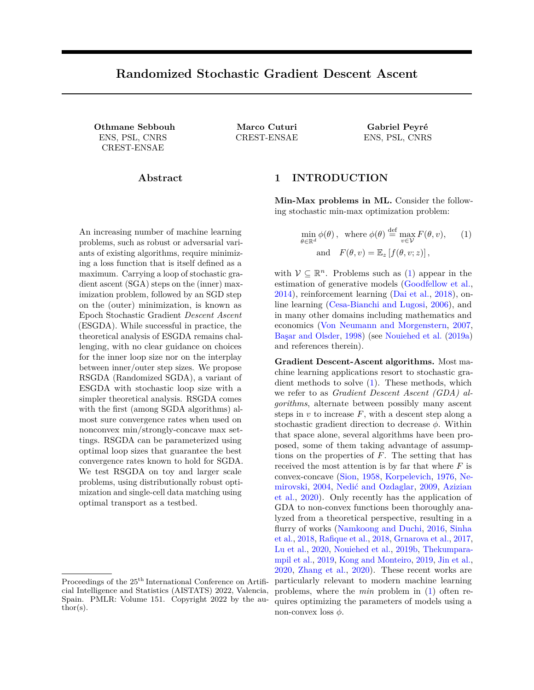- Nemirovski, A. (2004). Prox-method with rate of convergence o (1/t) for variational inequalities with lipschitz continuous monotone operators and smooth convex-concave saddle point problems SIAM Journal on Optimization, 15(1):229 251. 1
- Nouiehed, M., Sanjabi, M., Huang, T., Lee, J. D., and Razaviyayn, M. (2019a). Solving a class of non-convex min-max games using iterative rst order methods. Advances in Neural Information Processing Systems32(NeurIPS). 1
- Nouiehed, M., Sanjabi, M., Huang, T., Lee, J. D., and Razaviyayn, M. (2019b). Solving a class of non-convex min-max games using iterative rst order methods. In Advances in Neural Information Processing Systems volume 32. 1, 2
- Qiu, S., Yang, Z., Wei, X., Ye, J., and Wang, Z. (2020). Single-timescale stochastic nonconvexconcave optimization for smooth nonlinear td learning. arXiv preprint arXiv:2008.10103. 2
- Raque, H., Liu, M., Lin, Q., and Yang, T. (2018). Non-convex min max optimization: provable algorithms and applications in machine learning (2018). arXiv preprint arXiv:1810.02060. 1
- Robbins, H. and Siegmund, D. (1971). A convergence theorem for nonnegative almost supermartingales and some applications. Optimizing methods in Statistics, pages 233257. 4, 18
- Sanjabi, M., Ba, J., Razaviyayn, M., and Lee, J. D. (2018a). On the convergence and robustness of training gans with regularized optimal transport. In Proceedings of the 32nd International Conference on Neural Information Processing Systems, pages 7091 7101. 2, 8
- Sanjabi, M., Razaviyayn, M., and Lee, J. D. (2018b). Solving non-convex non-concave min-max games under polyak-fn Lg ojasiewicz condition. arXiv preprint arXiv:1812.02878. 2
- Schiebinger, G., Shu, J., Tabaka, M., Cleary, B., Subramanian, V., Solomon, A., Gould, J., Liu, S., Lin, S., Berube, P., et al. (2019). Optimal-transport analysis of single-cell gene expression identi es developmental trajectories in reprogramming. Cell, 176(4):928943. 2, 7
- Sebbouh, O., Gower, R. M., and Defazio, A. (2021). Almost sure convergence rates for stochastic gradient descent and stochastic heavy ball. InConference on Learning Theory, pages 39353971. PMLR. 4, 6, 18
- Shaeezadeh-Abadeh, S., Esfahani, P. M., and Kuhn, D. (2015). Distributionally robust logistic regression. In Proceedings of the 28th International Con-

ference on Neural Information Processing Systems-Volume 1, pages 1576 1584. 6

- Sinha, A., Namkoong, H., and Duchi, J. (2018). Certifying some distributional robustness with principled adversarial training. In International Conference on Learning Representations 1, 2, 3, 6, 7
- Sion, M. (1958). On general minimax theorems.Paci c Journal of mathematics,  $8(1):171176.1$
- Stark, S. G., Ficek, J., Locatello, F., Bonilla, X., Chevrier, S., Singer, F., Rätsch, G., Lehmann, K.-V., Consortium, T. P., et al. (2020). Scim: universal single-cell matching with unpaired feature sets. Bioinformatics (Oxford, England) , 36(Supplement 2):i919 i927. 2, 7, 8, 27
- Tang, F., Barbacioru, C., Wang, Y., Nordman, E., Lee, C., Xu, N., Wang, X., Bodeau, J., Tuch, B. B., Siddiqui, A., et al. (2009). mrna-seq wholetranscriptome analysis of a single cell. Nature methods 6(5):377 382. 28
- Thekumparampil, K. K., Jain, P., Netrapalli, P., and Oh, S. (2019). Ecient algorithms for smooth minimax optimization. arXiv preprint arXiv:1907.01543. 1
- Van der Maaten, L. and Hinton, G. (2008). Visualizing data using t-sne. Journal of machine learning research,  $9(11)$ .  $9$
- Vaswani, S., Bach, F., and Schmidt, M. (2019a). Fast and faster convergence of sgd for overparameterized models and an accelerated perceptron. In The 22nd International Conference on Arti cial Intelligence and Statistics, pages 1195 1204. PMLR. 6
- Vaswani, S., Mishkin, A., Laradji, I., Schmidt, M., Gidel, G., and Lacoste-Julien, S. (2019b). Painless stochastic gradient: Interpolation, line-search, and convergence rates.Advances in neural information processing systems $32:37323745.$  6
- Von Neumann, J. and Morgenstern, O. (2007).Theory of games and economic behavior Princeton university press. 1
- Yan, Y., Xu, Y., Lin, Q., Liu, W., and Yang, T. (2020). Optimal epoch stochastic gradient descent ascent methods for min-max optimization. Advances in Neural Information Processing Systems, 33. 3
- Zhang, J., Xiao, P., Sun, R., and Luo, Z.-Q. (2020). A single-loop smoothed gradient descent-ascent algorithm for nonconvex-concave min-max problems. arXiv preprint arXiv:2010.15768. 1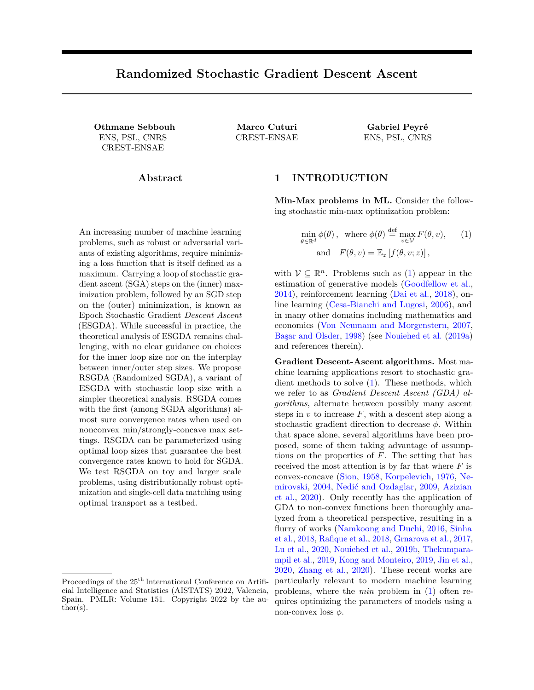# APPENDIX

| 1              |                 | <b>INTRODUCTION</b>                                                                          | 1              |
|----------------|-----------------|----------------------------------------------------------------------------------------------|----------------|
| $\overline{2}$ |                 | <b>BACKGROUND</b>                                                                            | 2              |
|                | 2.1             |                                                                                              | 2              |
|                | 2.2             |                                                                                              | $\overline{2}$ |
| 3              |                 | RANDOMIZED STOCHASTIC GRADIENT DESCENT ASCENT<br>3                                           |                |
|                | 3.1             |                                                                                              | 5              |
|                | 3.2             |                                                                                              | 5              |
|                |                 | 3.2.1                                                                                        | 6              |
| 4              |                 | <b>APPLICATIONS</b>                                                                          | 6              |
|                | 4.1             |                                                                                              | 6              |
|                | 4.2             |                                                                                              | -7             |
|                |                 | A Complete results                                                                           | 14             |
|                |                 |                                                                                              | 14             |
|                |                 |                                                                                              | 14             |
|                |                 |                                                                                              | 15             |
|                |                 |                                                                                              | 15             |
|                | <b>B</b> Proofs |                                                                                              | 15             |
|                |                 |                                                                                              | 15             |
|                |                 |                                                                                              | 18             |
|                |                 |                                                                                              |                |
|                |                 | <b>B.3.1</b>                                                                                 | 19             |
|                |                 |                                                                                              | 19             |
|                |                 |                                                                                              | 19             |
|                |                 | <b>B.3.4</b>                                                                                 | 20             |
|                |                 |                                                                                              | 21             |
|                |                 | <b>B.4.1</b>                                                                                 | 21             |
|                |                 | <b>B.4.2</b>                                                                                 | 21             |
|                |                 | <b>B.4.3</b>                                                                                 | 21             |
|                |                 | C Learning with a semi-discrete Sinkhorn loss is a nonconvex-strongly concave problem<br>-22 |                |
|                |                 |                                                                                              | 22             |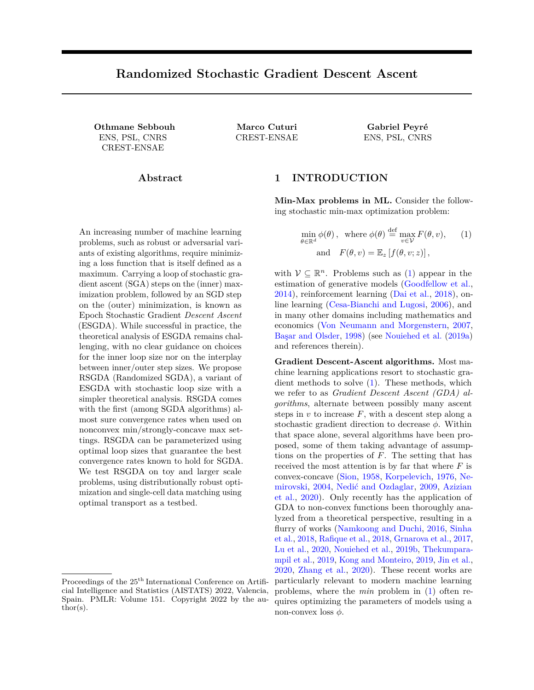|  | C.4 The semi-dual objective is strongly concave on the subset contained and contained a contact the semi-dual objective is strongly concave on the subset of contact and the semi-dual objective is strongly concave. |  |
|--|-----------------------------------------------------------------------------------------------------------------------------------------------------------------------------------------------------------------------|--|
|  | D Details about the experimental setting of Section 4.2<br>27                                                                                                                                                         |  |
|  |                                                                                                                                                                                                                       |  |
|  |                                                                                                                                                                                                                       |  |
|  | Impact of the choice of the number of iterations of Sinkhorn's algorithm 28<br>D.2.1                                                                                                                                  |  |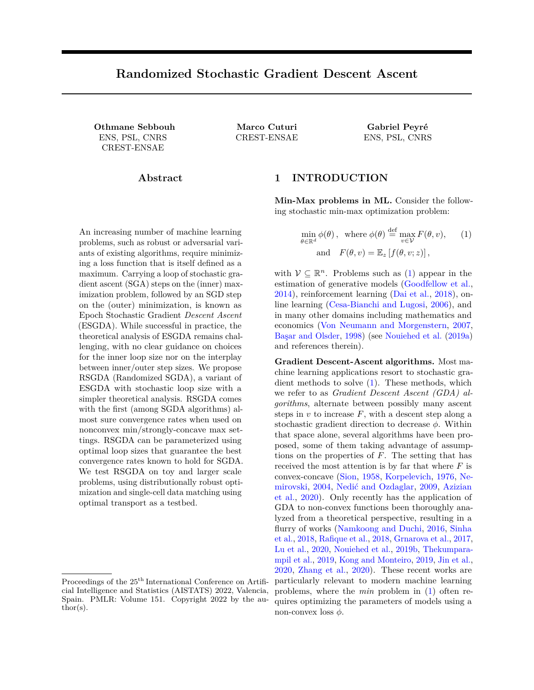The appendix is organized as follows:

- In appendix  $A$ , we present the detailed statements of the corollaries we presented in  $\overline{Y3}$ .
- In appendix  $\overline{B}$ , we present the proofs of all the statements of  $\overline{Y}3$ .
- In appendix  $C$ , we present the proof of Proposition 4.2.
- In appendix  $D$ , we present details on the experimental setting of  $\overline{Y4.2}$ .

# A Complete results

In this section, we give the detailed statements of the corollaries we presented in  $\overline{Y3}$ . The proofs of these results are presented in appendix B.

### A.1 Corollary 3.4

Corollary 3.4 presented the convergence rate in expectation of Randomized Gradient Descent Ascente. Alg. 2 when using deterministic gradients to update  $k$  and  $v_k$ .

Corollary A.1. Consider the setting of Proposition 3.1. Let  $k = \frac{1}{L}$  and  $= \frac{(1-p)}{2^2 L}$  $\frac{(1-p)}{2^2}$  p  $\frac{1}{2^2}$  $\frac{1}{p(2p+\frac{1-p}{p})}$ . Then,

$$
\begin{array}{ccc}\n & h \\
\min_{t=0;\dots;k} & A \in kr \quad (\ _{k})k^{2} & \frac{4}{(1-p)k} \frac{2+\frac{1-p}{p}}{2+\frac{1-p}{p}}D_{0} \\
 & + \frac{L^{2}}{(1-p)k}r_{0}:\n\end{array}
$$

In particular, for all  $p 2 \frac{1}{2}$ ; we have that

$$
\lim_{t=0;\dots;k-1} \frac{h}{E \, k r \, (\,k) k^2} = O^{-2} k^{-1} :
$$

This implies that nding an -stationary point requires at most O( $2$   $2$ ) iterations for all p 2  $1:\frac{1}{2}$ .

## A.2 Corrolary 3.5

Corollary 3.5 presented theanytime convergence rate in expectation of RSGDA (Alg.2) using decreasing step sizes.

Corollary A.2. Consider the setting of Proposition 3.1. Then,

min t =0 ;:::;k 1 E h kr ( <sup>t</sup>)k 2 i 2E<sup>0</sup> P <sup>k</sup> <sup>1</sup> <sup>t</sup> =0 p<sup>t</sup> <sup>t</sup> + 4L ~ 2 P <sup>k</sup> <sup>1</sup> <sup>t</sup> =0 <sup>t</sup> p<sup>t</sup> <sup>t</sup> P <sup>k</sup> <sup>1</sup> <sup>t</sup> =0 p<sup>t</sup> <sup>t</sup> + 2 2 L P <sup>k</sup> <sup>1</sup> <sup>t</sup> =0 p<sup>t</sup> <sup>t</sup> <sup>k</sup>X <sup>1</sup> t =0 pt 2 t + 2 2 4 P <sup>k</sup> <sup>1</sup> <sup>t</sup> =0 p<sup>t</sup> <sup>t</sup> <sup>k</sup>X <sup>1</sup> t =0 2p 3 t 3 t (1 pt) 2 2 t + p 2 t 3 t (1 pt) <sup>t</sup> :

Let  $p = p \ 2 \ (0; 1), \quad_{k} = \frac{1}{2L(k+1)^{2=5}}$  and  $_{k} = \frac{(1-p)_{k}}{4p^{2}(k+1)^{1=5}}$ . Then,

$$
\min_{t=0;\dots;k} \quad \text{for} \quad (\, t)k^2 = O \quad \frac{\log(k)}{k^{2=5}} \quad :
$$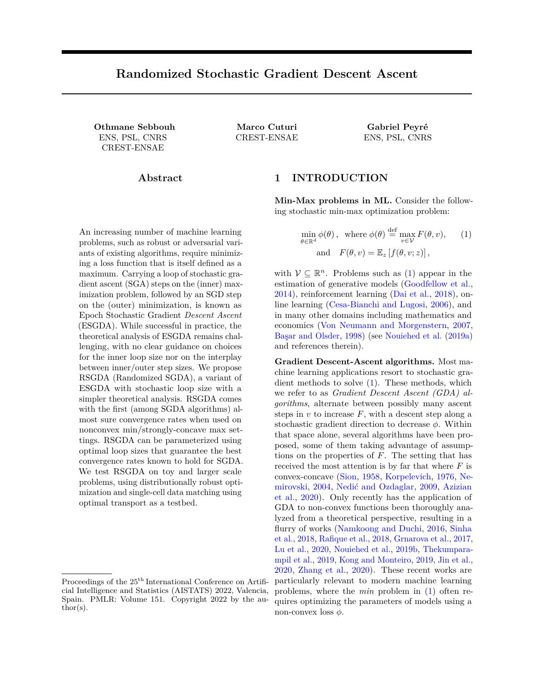#### A.3 Corollary 3.6

Corollary 3.6 presented the convergence rate in expectation of RSGDA (Alg.2) given a speci ed precision > 0 for an arbitrary minibatch size.

Corollary A.3. Consider the setting of Proposition 3.1. Choose following step sizes

$$
= \frac{2}{24L-2} \text{ and } = \frac{2}{12L-2} \text{ min } \frac{2}{12L-2}; \frac{1}{p} \frac{p}{48} \frac{3}{3} \frac{3}{3L-3};
$$

and a number of iterations k which veries

 $\circ$ 

$$
k \frac{12^{8}}{2} \cdot \frac{12D_{0}L}{p^{2}} \cdot \frac{48^{p} \cdot \overline{3}D_{0}^{3}L^{3}}{(1-p)^{3}} \cdot \frac{12^{p} \cdot \overline{2}D_{0}^{2}L^{2}}{p(1-p)^{2}} \cdot \frac{8^{2}L^{4} \cdot \frac{(1-p)^{2}}{2+\frac{(1-p)^{2}}{24p^{2-2}}}}{1-p} \cdot \frac{2L^{2}r_{0}^{2}}{(1-p)^{2}}.
$$

 $\mathbf{a}$ 

 $\Omega$ 

Then, by choosingp 2  $\frac{1}{2}$ ;  $\frac{1}{2}$ , we have that nding an -stationary point requires at most O  $\frac{3}{5}$  iterations.

### A.4 Corollary 3.8

Corollary 3.8 presented the convergence rate in expectation of RSGDA (Alg.2) given a specied precision > 0 for a large enough minibatch size.

Corollary A.4 (Large minibatch sizes). Consider the setting of proposition 3.1. Let Assumption 3.7 hold. Choose the step sizes

$$
= \frac{1}{L} \quad \text{and} \quad = \frac{q}{2} \frac{1}{2L} \frac{p}{p} \frac{1}{2p + \frac{1}{2}};
$$

There exists a minibatch sizeM  $($ ; ; p) such that if the total number of stochastic gradient evaluations is larger than

$$
\frac{0}{0} \frac{{}^{2} \text{LD}_0}{1 \text{ p}}^q \frac{1}{2 + \frac{1 \text{ p}}{p} + \frac{L^2 r_0}{1 \text{ p}}} \text{maxf 1;M ( ; ; p )gA ;}
$$

then, min<sub>t=0</sub> ;:::;k 1 E [kr (t)k] Moreover, choosingp 2  $\frac{1}{2}$ ;  $\frac{1}{2}$  ensures that the total number stochastic gradient computations is O  $34$ .

## B Proofs

## B.1 Proof of Proposition 3.1

Proof. In this proof, we de ne  $\frac{1}{k} = k$  k r f (k; v<sub>k</sub>; z<sub>k</sub>) and  $v_k^+ = v (v_k + k r v_f (k_i; v_k; z_k))$ . We denote by  $E_{z_k}$  [] the expectation conditioned on the random variablez<sub>k</sub>, and by  $E_k$  [] the expectation conditioned on all past random variables.

Recall that

$$
(*_{k+1}; v_{k+1}) = \begin{pmatrix} * & * & v_k \\ * & * & v_k \\ * & * & v_k \end{pmatrix} \quad \text{w. p. p} \quad \text{p. q}
$$

We have

$$
E_k [ (k+1) ] = p E_{z_k} (t) + (1 p) (k) : \qquad (8)
$$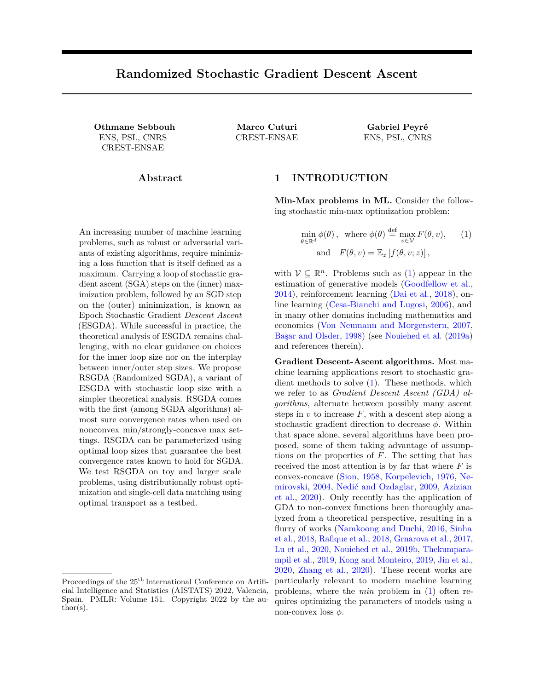From Lemma 2.2, we have that is 2L -smooth. Hence,

$$
\left(\begin{array}{c} + \\ k \end{array}\right) \qquad \left(\begin{array}{c} \\ k \end{array}\right) \qquad \quad k \text{ hr} \quad \left(\begin{array}{c} \\ k \end{array}\right); r \quad f\left(\begin{array}{c} \\ k \end{array}; V_k; Z_k \right) i + \quad \frac{2}{k} \text{ L} \text{ kr} \quad f\left(\begin{array}{c} \\ k \end{array}; V_k; Z_k \right) k^2;
$$

Thus,

$$
E_{z_{k}} \t(k) \t(k) \t khr \t(k); r F(k; v_{k})i + \frac{2}{k} L E_{z_{k}} kr f(k; v_{k}; z_{k})k^{2}
$$
\n
$$
= (k) \frac{k}{R}kr (k)k^{2} \frac{k}{2}kr F(k; v_{k})k^{2} + \frac{k}{2}kr (k) r F(k; v_{k})k^{2}
$$
\n
$$
+ \frac{2}{k} L E_{z_{k}} kr f(k; v_{k}; z_{k}) r F(k; v_{k})k^{2} + \frac{2}{k} L kr F(k; v_{k})k^{2}
$$
\n
$$
(k) \frac{k}{2}kr (k)k^{2} + \frac{k}{2}kr (k) r F(k; v_{k})k^{2}
$$
\n
$$
\frac{k}{2} (1 2 k L) kr F(k; v_{k})k^{2} + \frac{2}{k} L^{2}
$$
\n
$$
(k) \frac{k}{2}kr (k)k^{2} + \frac{k}{2}kr (k) r F(k; v_{k})k^{2} + \frac{2}{k} L^{2}
$$
\n
$$
\frac{k}{4}kr F(k; v_{k})k^{2};
$$

where we used the fact that  $k = \frac{1}{4L}$  in the last inequality. Let  $k \stackrel{\text{def}}{=} k v_k \quad v \in k \times k^2$ . From assumption 2.1, F is L-smooth. Hence,

$$
E_{z_k}
$$
  $\binom{+}{k}$   $\binom{k}{k}$   $\frac{k}{2}kr$   $\binom{k}{k}k^2 + \frac{kL^2}{2}k + \frac{2}{k}L^2 \frac{k}{4}kr$   $F(\frac{k}{2}v_k)k^2$ :

Using this inequality in  $(8)$ , we have

$$
E_k[(k+1)(k) - \frac{p_{k}}{2}kr(k) + \frac{p_{k}L^{2}}{2}k + p_{k}^{2}L^{2} - \frac{p_{k}}{4}kr F(k;k)k^{2}
$$

Besides, we have

$$
E_k [k+1] = (1-p) E_{z_k} \quad v_k^+ \quad v (k) \quad 2^i + p E_{z_k} \quad v_k \quad v (k) \quad 2^i :
$$

First, note that since  $v_k^+ = v_v (v_k + v_k r_v f(v_k; v_k; z_k))$  and v (  $_k$ ) 2 V, where V is a convex set, we have that

$$
v_k^*
$$
 v (  $_k$ )  $^2 = k v (v_k + _k r v f ( _k; v_k; z_k))$  v (v (  $_k$ )) $k^2$  k  $v_k + _k r v f ( _k; v_k; z_k)$  v (  $_k$ ) $k^2$ ;

where we used the fact that  $\sqrt{V}$  is contractive. Hence, using the classical analysis for SGD in the strongly convex and smooth setting (see for example Gower et al. (2019)), we have that

E<sup>z</sup><sup>k</sup> h v + k v ( <sup>k</sup> ) 2 i (1 <sup>k</sup> )kv<sup>k</sup> v ( <sup>k</sup> )k 2 2 <sup>k</sup> (1 2 <sup>k</sup> L) (f ( <sup>k</sup> ; v ( <sup>k</sup> )) f ( <sup>k</sup> ; v<sup>k</sup> )) + 2 <sup>2</sup> k ~ 2 :

Hence, with  $k = \frac{1}{2L}$ , we have

$$
E_k
$$
  $\begin{bmatrix} k+1 \end{bmatrix}$  (1 p)(1 k)  $kV_k$  v  $(k)k^2 + pE_{z_k}$  v  $(k) (k) k^2 + 2(1 - p) k^2$ .

Let  $k > 0$ . Then,

$$
E_k[
$$
<sub>k+1</sub>] ((1 p)(1 <sub>k</sub>) + p(1 + <sub>k</sub>))<sub>k</sub> + p 1 +  $\frac{1}{k}$   $E_{z_k}$  v ( $\frac{1}{k}$ ) v ( $\frac{1}{k}$ )<sup>2</sup> + 2(1 p)  $\frac{2}{k}$ <sup>2</sup>:

From Lemma 2.2, we have thatv is -lipschitz. Hence, by also using Assumption 2.3,

$$
E_{z_k} \quad v \; (\begin{array}{c} + \\ k \end{array}) \quad v \; (\begin{array}{c} ) \end{array}) \; \begin{array}{c} 2 \\ 2 \end{array}) \; \begin{array}{c} \frac{1}{2} \\ \frac{2}{k} \end{array} \; \begin{array}{c} \frac{1}{2} \\ \frac{2}{k} \end{array} \; \begin{array}{c} \frac{1}{2} \\ \frac{2}{k} \end{array} \; \begin{array}{c} \frac{2}{k} \\ \frac{2}{k} \end{array} \; \begin{array}{c} \frac{2}{k} \\ \frac{2}{k} \end{array} \; \begin{array}{c} \frac{2}{k} \\ \frac{2}{k} \end{array} \; \begin{array}{c} \frac{2}{k} \\ \frac{2}{k} \end{array} \; \begin{array}{c} \frac{2}{k} \\ \frac{2}{k} \end{array} \; \begin{array}{c} \frac{2}{k} \\ \frac{2}{k} \end{array} \; \begin{array}{c} \frac{2}{k} \\ \frac{2}{k} \end{array}
$$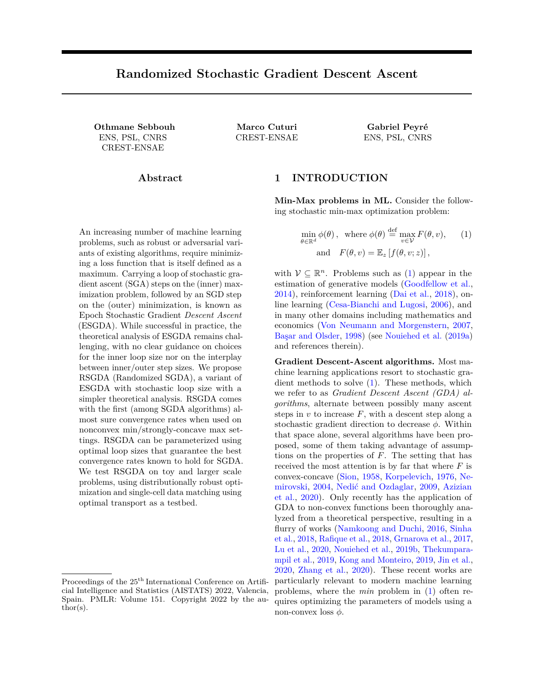Hence,

$$
E_{k}[k+1] \quad ((1 \quad p)(1 \quad k) + p(1 + k)) \quad k+ p \quad 1 + \frac{1}{k} \quad \frac{2}{k} {}^{2}kr \quad F(\,k; v_{k})k^{2}
$$
  
+2(1 \quad p)  $\frac{2}{k} {}^{2} + p \quad 1 + \frac{1}{k} \quad \frac{2}{k} {}^{2} {}^{2}.$ 

With  $k = \frac{(1-p) - k}{2p}$ , this inequality becomes

$$
E_{k}[k+1] \qquad 1 \quad \frac{(1 \quad p) \quad k}{2} \qquad k + \frac{p(2p + (1 \quad p) \quad k}{(1 \quad p) \quad k} \quad k \qquad F(\kappa; v_{k})k^{2} + 2(1 \quad p) \quad k^{2} \qquad \frac{p(2p + (1 \quad p) \quad k}{(1 \quad p) \quad k} \quad k^{2} \qquad 2 \qquad \frac{p(2p + (1 \quad p) \quad k}{(1 \quad p) \quad k} \quad k^{2} \qquad k \qquad \frac{p(2p + (1 \quad p) \quad k}{(1 \quad p) \quad k} \qquad k \qquad \frac{p(2p + (1 \quad p) \quad k}{(1 \quad p) \quad k} \qquad k \qquad \frac{p(2p + (1 \quad p) \quad k}{(1 \quad p) \quad k} \qquad k \qquad \frac{p(2p + (1 \quad p) \quad k}{(1 \quad p) \quad k} \qquad k \qquad \frac{p(2p + (1 \quad p) \quad k}{(1 \quad p) \quad k} \qquad k \qquad \frac{p(2p + (1 \quad p) \quad k}{(1 \quad p) \quad k} \qquad k \qquad \frac{p(2p + (1 \quad p) \quad k}{(1 \quad p) \quad k} \qquad k \qquad \frac{p(2p + (1 \quad p) \quad k}{(1 \quad p) \quad k} \qquad k \qquad \frac{p(2p + (1 \quad p) \quad k}{(1 \quad p) \quad k} \qquad k \qquad \frac{p(2p + (1 \quad p) \quad k}{(1 \quad p) \quad k} \qquad k \qquad \frac{p(2p + (1 \quad p) \quad k}{(1 \quad p) \quad k} \qquad k \qquad \frac{p(2p + (1 \quad p) \quad k}{(1 \quad p) \quad k} \qquad k \qquad \frac{p(2p + (1 \quad p) \quad k}{(1 \quad p) \quad k} \qquad k \qquad \frac{p(2p + (1 \quad p) \quad k}{(1 \quad p) \quad k} \qquad k \qquad \frac{p(2p + (1 \quad p) \quad k}{(1 \quad p) \quad k} \qquad k \qquad \frac{p(2p + (1 \quad p) \quad k}{(1 \quad p) \quad k} \qquad k \qquad \frac{p(2p + (1 \quad p) \quad k
$$

Rearranging, we have

$$
\kappa \frac{2}{(1-p) \kappa} \kappa \frac{2}{(1-p) \kappa} E_k [\kappa+1] + \frac{2p(2p+(1-p) \kappa)^{-\frac{2}{k} - 2}}{(1-p)^2 \kappa^{\frac{2}{k} - 2}} k r F(\kappa; v_k) k^2 + \frac{4 \kappa^{-2}}{4} + \frac{2p(2p+(1-p) \kappa)^{-\frac{2}{k} - 2}}{(1-p)^2 \kappa^{\frac{2}{k} - 2}}.
$$

Hence,

$$
\frac{p_{k}L^{2}}{2} k \frac{p_{k}L}{(1-p)_{k}} k \frac{p_{k}L}{(1-p)_{k}} E_{k}[k+1] + \frac{p^{2}(2p + (1-p)_{k}) \frac{3}{k}^{3}}{(1-p)^{2} \frac{2}{k}} k r F(k; v_{k})k^{2}
$$
  
+2 k p\_{k}L \sim^{2} + \frac{p^{2}(2p + (1-p)\_{k}) \frac{3}{k} + 2}{(1-p)^{2} \frac{2}{k}}  

$$
\frac{p_{k}L}{(1-p)_{k}} k \frac{p_{k+1}L}{(1-p)_{k+1}} E_{k}[k+1] + \frac{p^{2}(2p + (1-p)_{k}) \frac{3}{k}^{3}}{(1-p)^{2} \frac{2}{k}} k r F(k; v_{k})k^{2}
$$
  
+2 k p\_{k}L \sim^{2} + \frac{p^{2}(2p + (1-p)\_{k}) \frac{3}{k} + 2}{(1-p)^{2} \frac{2}{k}};

where we used in the last inequality that  $\frac{k + 1}{k + 1}$  and  $\frac{k}{k}$  Using this inequality in (B.1) and rearranging gives

$$
\frac{p_{k}}{2}kr (\kappa)k^{2} + E_{k} (\kappa+1) + \frac{p_{k+1}L}{(1-p)_{k+1}} k+1
$$
\n
$$
(\kappa) + \frac{p_{k}L}{(1-p)_{k}} k + \frac{k p_{k}}{4} + \frac{4p(2p + (1-p)_{k})k^{2}k^{4}}{(1-p)^{2}k^{2}} \text{kr } F(\kappa; v_{k})k^{2}
$$
\n
$$
+ p_{k}^{2}L^{2} + 2 k p_{k}L \sim^{2} + \frac{p^{2}(2p + (1-p)_{k})k^{3}k^{4}k^{2}}{(1-p)^{2}k^{2}}.
$$

Hence, since  $k = \frac{p(1-p)}{n(2p)/(4-p)}$  $\frac{p(1-p)_{k}}{p(2p+(1-p)_{k})},$ 

$$
p_{k}kr (\kappa)k^{2} + E_{k} 2 (\kappa+1) + \frac{2p_{k+1} L}{(1-p)_{k+1}} k+1
$$
  
2 (\kappa) +  $\frac{2p_{k} L}{(1-p)_{k}} k$   
+2p\_{k}^{2} L +4 \kappa p\_{k} L -2 +  $\frac{2p^{2}(2p + (1-p)_{k}) - 3}{(1-p)^{2} (2p+1)}$ :

Hence,

$$
p_{k}kr \quad (\ _{k})k^{2}+2E_{k}\left[E_{k+1}\right] \quad 2E_{k}+2 \ ^{2} \quad p_{k}^{2}L + \frac{p^{2}\left(2p+(1-p)_{k}\right) \ _{k}^{3} \ _{k}^{4}}{(1-p)^{2} \ _{k}^{2}} \ _{t} + 4 \ _{k}p_{k}L \ ^{2}.
$$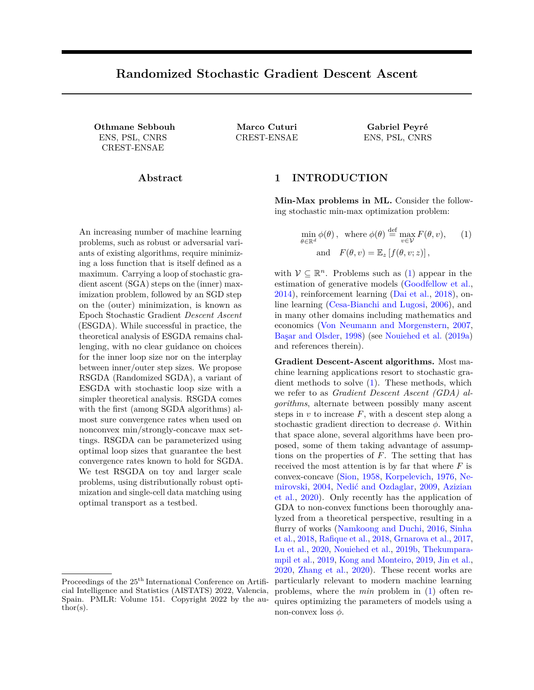#### B.2 Proof of Corollary 3.2

Before the proof of Corollary 3.2, we rst present a simpli ed version of the Robbins-Siegmund theorem.

Lemma B.1 (Robbins and Siegmund (1971)) Consider  $a_{\text{b}}$  Itration  $(F_k)_k$ , the nonnegative sequences of Lemma B.1 (Robbins and Slegmund (1971), Consider  $\beta$  mation  $(r_k)_{k}$ , the nonnegate  $(F_k)_{k}$  adapted processes  $(\mathsf{K})_k$ ,  $(\mathsf{U}_k)_{k}$  and  $(\mathsf{Z}_k)_{k}$  such that  $\mathsf{K} \mathsf{Z}_k < 1$  almost surely, and

$$
8k \ 2 \ N; \ E \ [V_{k+1} \ jF_k] + U_{k+1} \quad V_k + Z_k:
$$

Then  $(V_k)_k$  converges and  $\begin{bmatrix} P \\ k \end{bmatrix}$   $V_k$  < 1 almost surely.

We now move on to the proof of Corollary 3.2.

Proof. In this proof, we use a similar proof technique to Sebbouh et al. (2021). From Proposition 3.1, we have

$$
_{k}kr \quad (\ _{k})k^{2} + \frac{2E_{k}\left[E_{k+1}\right]}{p} - \frac{2E_{k}}{p} + 4\ _{k\ k}\ L \sim^{2} + 2\ ^{2} - \ _{k}^{2}L \ + \ \frac{p(2p+(1-p)_{k})\ _{k}^{-3}\ _{k}^{3}}{(1-p)^{2}\ _{k}^{2}} \ ;
$$

Using Lemma B.1 and the fact that P  $\frac{2}{k}$   $\frac{2}{k}$  2 < 1,  $\frac{P}{k}$   $\frac{k}{k}$   $\frac{k}{k}$   $\frac{2}{k}$  < 1,  $\frac{P}{k}$ k  $\frac{1}{2}$   $\frac{1}{2}$   $<$  1,  $\frac{P}{P}$ k  $\frac{3}{k}$   $\frac{2}{5}$  < 1, we have that  $\left(\mathsf{E}_{\mathsf{k}}\right)_{\mathsf{k}}$  convergesalmost surely. Now de ne for all k 2 N,

$$
w_{k} = P\frac{2 k}{\sum_{j=0}^{k} i}; \quad g_{0} = kr \quad (0)k^{2}; \quad g_{k+1} = (1 \quad w_{k})g_{k} + w_{k}kr \quad (k)k^{2};
$$

Notice that since  $(-_k)_k$  is decreasing, we havew<sub>k</sub> 2 [0; 1]. Hence, using the convexity of the squared norm, we have

$$
\frac{P_{k}}{2}g_{k+1} + \frac{2E_{k}[E_{k+1}]}{p} + \frac{k}{2}g_{k} \frac{P_{k-1}}{2}g_{k} + \frac{2E_{k}}{p} + 4 \frac{k}{k}L + \frac{p(2p + (1-p)k)^{-3}}{(1-p)^{2}k} + 4 \frac{k}{k}L - \frac{p(2p + (1-p)k)^{-3}}{(1-p)^{2}k}.
$$

Using Lemma B.1 and the step size conditions again, and the fact tha(E<sub>k)k</sub> convergesalmost surely, gives that  $\overrightarrow{P_k}$  i g<sub>k+1</sub> convergesalmost surely and that  $\overrightarrow{R_k}$  k g<sub>k</sub> < 1 almost surely. In particular, this implies that  $\lim_{k \to \infty} k g_k = 0$ . Notice that  $k g_k = \frac{P_k}{k \cdot 1}$  $P_{k-1 \atop j=0}$  i  $g_k$ . Hence, since we have that  $P_{k \atop j=0}$  i  $g_{k+1}$ convergesalmost surely and P  $k$   $\frac{P_{k-1}}{P_{j=0}}$  $=$  1<sup> $=$ </sup> 1 (which is a consequence of the fact that  $\frac{P}{k}$   $\frac{k}{k}$  = 1 ), then  $\lim_{k} \frac{P_{k-1}}{1}$  j g<sub>k</sub> = 0, i.e. !

$$
g_k = o \quad P \frac{1}{\sum_{j=0}^{k-1} j}
$$

Finally, since,  $g_k$  is a weighted average of n kr ( <sub>0</sub>)k<sup>2</sup>;:::;kr ( <sub>k 1</sub>)k<sup>2</sup> , we have that  $g_k$  $\min_{t=0,\dots,k}$  1 kr ( t)  $k^2$ . Hence,

$$
\min_{t=0;\dots;k} \quad \text{for} \quad (t)k^2 = o \quad \mathsf{P} \frac{1}{\sum_{j=0}^{k-1} 1} \quad :
$$

 $\Box$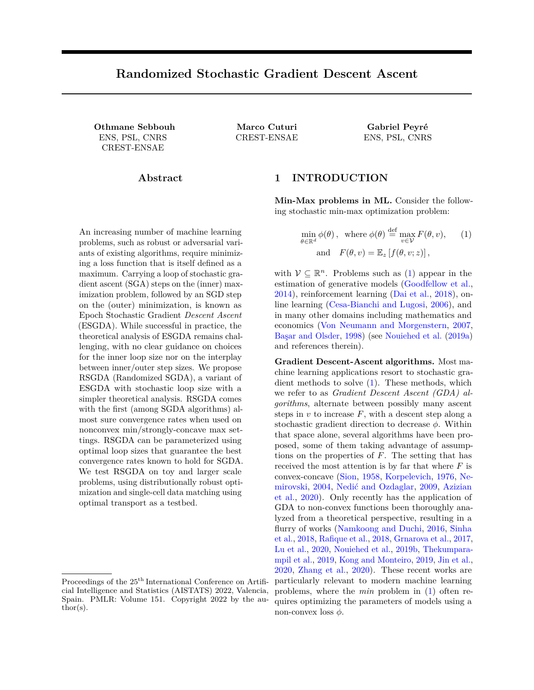#### B.3 Proofs for convergence rates in expectation

All the convergence in expectation proofs follow by telescopic cancellation in(2). Indeed, summing Inequality (2) betweent = 0 and k 1, and using the fact that 8t = 0;:::;k 1; kr ( $_t$ )k<sup>2</sup> min<sub>j=0;:::;k 1</sub> kr ( $_j$ )k<sup>2</sup>, we have

$$
\begin{array}{lll}\n\min_{t=0;\dots;k} & \text{str} & (+)k^2 & \frac{2(\begin{pmatrix} 0 \\ 0 \end{pmatrix})}{p} \begin{pmatrix} 1 & 0 \\ 0 & 0 \end{pmatrix} + \frac{2(0 - kV_0)}{p} \begin{pmatrix} 1 & 0 \\ 0 & 0 \end{pmatrix} \begin{pmatrix} 1 & 0 \\ 0 & 0 \end{pmatrix} + \frac{4L}{t-0} \begin{pmatrix} 2 & 0 & 0 \\ 0 & 0 & 0 \\ 0 & 0 & 0 \end{pmatrix} + \frac{4L}{t-0} \begin{pmatrix} 2 & 0 & 0 \\ 0 & 0 & 0 \\ 0 & 0 & 0 \end{pmatrix} \begin{pmatrix} 1 & 0 \\ 0 & 0 \\ 0 & 0 \end{pmatrix} + \frac{2L}{t-0} \begin{pmatrix} 2 & 0 & 0 \\ 0 & 0 & 0 \\ 0 & 0 & 0 \end{pmatrix} \begin{pmatrix} 1 & 0 \\ 0 & 0 \\ 0 & 0 \end{pmatrix} \begin{pmatrix} 1 & 0 \\ 0 & 0 \end{pmatrix} \begin{pmatrix} 1 & 0 \\ 0 & 0 \end{pmatrix} + \frac{2}{t-0} \begin{pmatrix} 2 & 0 & 0 \\ 0 & 0 & 0 \\ 0 & 0 & 0 \end{pmatrix} \begin{pmatrix} 1 & 0 \\ 0 & 0 \\ 0 & 0 \end{pmatrix} \begin{pmatrix} 1 & 0 \\ 0 & 0 \end{pmatrix} \begin{pmatrix} 1 & 0 \\ 0 & 0 \end{pmatrix} \begin{pmatrix} 1 & 0 \\ 0 & 0 \end{pmatrix} \begin{pmatrix} 1 & 0 \\ 0 & 0 \end{pmatrix} \end{array} \tag{9}
$$

B.3.1 Proof of Corollary 3.4

h

Using constant step sizes in (9), we have

i

$$
\min_{t=0;\dots;k=1} \frac{h}{E \text{kr } (t)k^2} \frac{2D_0}{pk} + \frac{2 Lr_0}{(1-p)k} + 4 L \approx 2 + 2 L \frac{2}{(1-p)^2} + \frac{2}{(1-p)^2} \frac{2}{(1-p)^2}.
$$
 (10)

Proof. When using the exact gradients, we have that  $2 = x^2 = 0$ . Using the constant step sizes of Corollary 3.4 in (10) directly gives the desired result.  $\Box$ 

#### B.3.2 Proof of Corollary 3.5

Proof. Using Inequality (9) and the parameter settings of Corollary 3.5, we have

$$
\begin{array}{lll}\n\text{min} & \text{E} & \text{tr} & (1, k^2) \neq \frac{2(1, 0)}{p} \cdot \frac{2(1 + 1)^{2-5}}{p} + \frac{2 \text{ L} \cdot \text{kv}_0 \cdot \text{v} \cdot (0)k^2}{(1 - p) \cdot 0(k + 1)^{2-5}} \\
& + \frac{4 \text{ L} \cdot \frac{2}{p} \cdot \text{log}(k + 1)}{(k + 1)^{2-5}} + \frac{2 \text{ L} \cdot \frac{2}{p}}{(k + 1)^{2-5}} \\
& + \frac{2^{2} \cdot 4p}{0(1 - p)^{2}(k + 1)^{2-5}} \cdot \frac{2p \cdot \text{log}(k + 1)}{0} + (1 - p) \\
& \text{if } \text{log}(k + 1) \text{ is the probability of } p \text{ and } p \text{ is the probability of } p \text{ and } p \text{ is the probability of } p \text{ and } p \text{ is the probability of } p \text{ and } p \text{ is the probability of } p \text{ and } p \text{ is the probability of } p \text{ and } p \text{ is the probability of } p \text{ and } p \text{ is the probability of } p \text{ and } p \text{ is the probability of } p \text{ and } p \text{ is the probability of } p \text{ and } p \text{ is the probability of } p \text{ and } p \text{ is the probability of } p \text{ and } p \text{ is the probability of } p \text{ and } p \text{ is the probability of } p \text{ and } p \text{ is the probability of } p \text{ and } p \text{ is the probability of } p \text{ and } p \text{ is the probability of } p \text{ and } p \text{ is the probability of } p \text{ and } p \text{ is the probability of } p \text{ and } p \text{ is the probability of } p \text{ and } p \text{ is the probability of } p \text{ and } p \text{ is the probability of } p \text{ and } p \text{ is the probability of } p \text{ and } p \text{ is the probability of } p \text{ and } p \text{ is the probability of } p \text{ and } p \text{ is the probability of } p \text{ and } p \text{ is the probability of } p \text{ and } p \text{ is the probability of } p \text{ and } p \text{ is the probability of } p \text{ and } p \text{ is the probability of } p \text{ and } p \text{ is the probability of } p \text{ and } p \text{ is the probability of } p
$$

where " / " indicates that we omit the absolute constants arising in the summations. The asymptotically dominant term is  $\frac{4 \leq \lambda^2 - \log(k+1)}{(k+1)^{2\epsilon}}$  $\frac{(-1)^{100} \cdot (1)^{100}}{(k+1)^{2-5}}$ . Hence

$$
\min_{t=0;\dots;k-1} \frac{h}{E \cdot kr} \quad (\text{t})k^2 = O \quad \frac{\log(k)}{\overline{k}}
$$

 $\Box$ 

## B.3.3 Proof of Corollary 3.6

Proof. For simplicity, we consider that  $2 \times 2$  1. Otherwise, we can simply replace and  $\sim$  by max f;  $\div$  1g, and the proof will still hold with max f;  $\div$  1g instead of .

Let  $\geq 0$ . The proof follows simply from forcing each term of the LHS of (10) to be smaller than  $\frac{2}{6}$ . This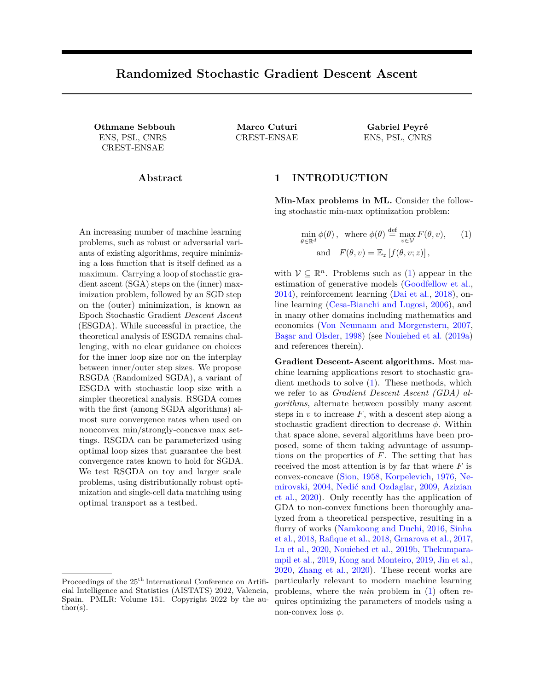results in the following step sizes

$$
= \frac{2}{24L-2} \text{ and } = \frac{2}{12L-2} \text{ min } \frac{2}{12L-2}; \frac{1}{p} \frac{p}{48} \frac{3}{3} \frac{3}{9} \frac{3}{3}; \frac{1}{p} \frac{1}{12} \frac{p}{2} \frac{2}{2} \frac{2}{2L-2};
$$

$$
\frac{1}{8} \frac{p}{2L} \frac{3}{p} \frac{3}{48} \frac{3}{3} \frac{3}{9} \frac{3}{3}; \frac{1}{p} \frac{1}{22} \frac{p}{2} \frac{2}{2} \frac{2}{2L-2};
$$

and the following lower bound onk

k 12 2 8 < : 12D0L <sup>2</sup> p<sup>2</sup> ; 48 p 3D<sup>0</sup> <sup>3</sup>L <sup>3</sup> (1 p) 3 ; 12 p 2D<sup>0</sup> <sup>2</sup>L <sup>2</sup> p p(1 p) 2 ; 8 2L q 2 + (1 p) 2 24p <sup>2</sup> <sup>2</sup> 1 p ; 2L 2 r 0 2 (1 p) 2 9 = ; :

By choosing p 2  $\frac{1}{2}$ ;  $\frac{1}{2}$ , we have that the RHS is at most of the order  $\frac{3}{5}$ .

 $\Box$ 

1

### B.3.4 Proof of Corollary 3.8

To prove Corollary 3.8, we need to use the following lemma, which ensures that the variance of the stochastic gradients decreases linearly with the minibatch size.

Lemma B.2 (Lemma A.2 in Lin et al. (2019)). Let Assumption 3.7 hold. Then, is  $G_z$  (; v) =  $\frac{1}{M}$   $\bigcup_{i=1}^{M}$  r f (; v; z<sup>i</sup>) where  $z_1$ ; :::;  $z_M$  are sampled i.i.d, then  $\sum_{i=1}^{M}$  r f (; v; z<sup>i</sup>) where  $z_1$ ; :::;  $z_M$  are sampled i.i.d, then

$$
\begin{array}{cccc} h & & & \\ E & kG_z(\ ;v) & r & F(\ ;v)k^2 & \frac{2}{M} \end{array}
$$

And the same holds with the gradient with respect to.

Proof. Using (10) with the constant step sizes of Corollary 3.8 and Lemma

$$
\begin{array}{lll}\n\text{min} & \text{E} & \text{tr} & \text{tr} & \text{tr} & \text{tr} & \text{tr} & \text{tr} & \text{tr} & \text{tr} & \text{tr} & \text{tr} & \text{tr} & \text{tr} & \text{tr} & \text{tr} & \text{tr} & \text{tr} & \text{tr} & \text{tr} & \text{tr} & \text{tr} & \text{tr} & \text{tr} & \text{tr} & \text{tr} & \text{tr} & \text{tr} & \text{tr} & \text{tr} & \text{tr} & \text{tr} & \text{tr} & \text{tr} & \text{tr} & \text{tr} & \text{tr} & \text{tr} & \text{tr} & \text{tr} & \text{tr} & \text{tr} & \text{tr} & \text{tr} & \text{tr} & \text{tr} & \text{tr} & \text{tr} & \text{tr} & \text{tr} & \text{tr} & \text{tr} & \text{tr} & \text{tr} & \text{tr} & \text{tr} & \text{tr} & \text{tr} & \text{tr} & \text{tr} & \text{tr} & \text{tr} & \text{tr} & \text{tr} & \text{tr} & \text{tr} & \text{tr} & \text{tr} & \text{tr} & \text{tr} & \text{tr} & \text{tr} & \text{tr} & \text{tr} & \text{tr} & \text{tr} & \text{tr} & \text{tr} & \text{tr} & \text{tr} & \text{tr} & \text{tr} & \text{tr} & \text{tr} & \text{tr} & \text{tr} & \text{tr} & \text{tr} & \text{tr} & \text{tr} & \text{tr} & \text{tr} & \text{tr} & \text{tr} & \text{tr} & \text{tr} & \text{tr} & \text{tr} & \text{tr} & \text{tr} & \text{tr} & \text{tr} & \text{tr} & \text{tr} & \text{tr} & \text{tr} & \text{tr} & \text{tr} & \text{tr} & \text{tr} & \text{tr} & \text{tr} & \text{tr} & \text{tr} & \text{tr} & \text{tr} & \text{tr} & \text{tr} & \text{tr} & \text{tr} & \text{tr} & \text{tr} & \text{tr} & \text{tr} & \text{tr} & \
$$

Hence,  $\frac{p}{2^2(2p+\frac{1-p}{2})} + \frac{1}{4^2(2p+\frac{1-p}{2})}$  2, we have

min t =0 ;:::;k 1 E h kr ( <sup>t</sup>)k 2 i 8 2L (1 p)k r 2 + <sup>1</sup> <sup>p</sup> 2p D<sup>0</sup> + 2L <sup>2</sup> (1 p)k r 0 + 2 2 M 0 @ <sup>1</sup> <sup>p</sup> 2 2 q p 2p + 1 p 2 + 4 1 A :

**Choosingk**  $\frac{2}{2}$  $2^2$  L (1 p)k q  $\frac{1}{2} + \frac{1}{2p}D_0 + \frac{2L^2}{(1-p)k}r_0$  and M = M (; ) ensures that r 2 2 0

$$
\frac{8^2L}{(1-p)k} \frac{1}{2+\frac{1-p}{2p}}D_0 + \frac{2L^2}{(1-p)k}r_0 \frac{2}{2} \text{ and } \frac{2}{2} \frac{2}{2} \frac{2}{p} \frac{1}{2p+\frac{1-p}{2}} + 4A = \frac{2}{2}
$$

Hence, the total number of samples required to guarantee that  $min_{t=0, ..., k-1} E[kr(t)]$  is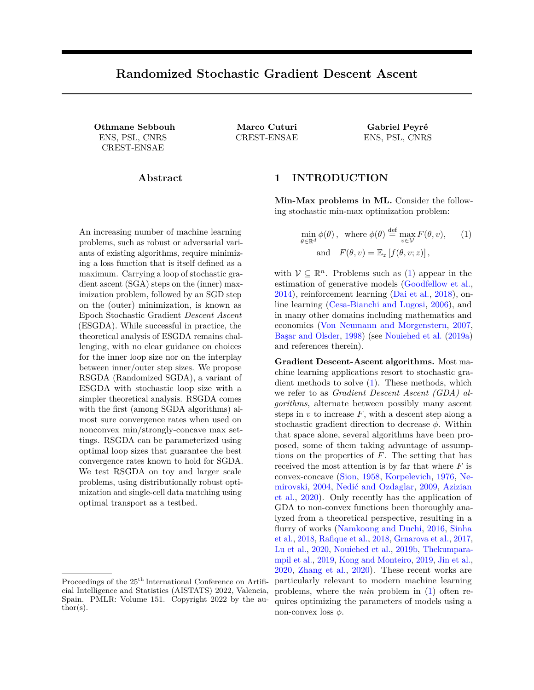max f 1; M (; )gk = O 0 @ 2 L D <sup>0</sup> 1 p q 2 + <sup>1</sup> <sup>p</sup> 2p + L <sup>2</sup> r 0 1 p <sup>2</sup> max f 1; M (; )g 1 A :

B.4 Proofs for the interpolation results of Section 3.2.1 (Corollary 3.10)

B.4.1 Almost sure convergence

Proof. Using  $\sim^2 = 0$  and  $k = \frac{1}{2}$  in (2), we have that

$$
\begin{array}{ccccccccc}\n & & & & & & & & 0 & & & & & & 1\\ \np_{k} & & & & & & & & & 1\\
p_{k} & & & & & & & & 1\\
p_{k} & & & & & & & 1\\
p_{k} & & & & & & & 1\\
p_{k} & & & & & & & 1\\
p_{k} & & & & & & & 1\\
p_{k} & & & & & & & 1\\
p_{k} & & & & & & & 1\\
p_{k} & & & & & & & 1\\
p_{k} & & & & & & & 1\\
p_{k} & & & & & & & 1\\
p_{k} & & & & & & & 1\\
p_{k} & & & & & & & 1\\
p_{k} & & & & & & & 1\\
p_{k} & & & & & & & 1\\
p_{k} & & & & & & & 1\\
p_{k} & & & & & & & 1\\
p_{k} & & & & & & & 1\\
p_{k} & & & & & & & 1\\
p_{k} & & & & & & & 1\\
p_{k} & & & & & & & 1\\
p_{k} & & & & & & & 1\\
p_{k} & & & & & & & 1\\
p_{k} & & & & & & & 1\\
p_{k} & & & & & & & 1\\
p_{k} & & & & & & & 1\\
p_{k} & & & & & & & 1\\
p_{k} & & & & & & & 1\\
p_{k} & & & & & & & 1\\
p_{k} & & & & & & & 1\\
p_{k} & & & & & & & 1\\
p_{k} & & & & & & & 1\\
p_{k} & & & & & & & 1\\
p_{k} & & & & & & & 1\\
p_{k} & & & & & & & 1\\
p_{k} & & & & & & & 1\\
p_{k} & & & & & & & 1\\
p_{k} & & & & & & & 1\\
p_{k} & & & & & & & 1\\
p_{k} & & & & & & & 1\\
p_{k} & & & & & & & 1\\
p_{k} & & & & & & & 1\\
p_{k} & & & & & & & 1\\
p_{k} & & & & & & & 1\\
p_{k} & & & & & & & 1\\
p_{k} & & & & & & & 1\\
p_{k} & & & & & & & 1\\
p_{k} & & & & & & & 1\\
p_{k} & & &
$$

Now note that by choosing  $k = \frac{1}{4(k+1)^{-1/2}} p \frac{1}{p(2p+(1-p))}$ , we have that

$$
X\n\n k = 1 ; \n\n $\begin{array}{ccc}\n & \mu_{k+1} & \mu_{k+2} \\
 & \chi & \chi & \chi \\
 & k & k\n\end{array}$ \nand\n $\begin{array}{ccc}\n & \chi & \chi & \chi \\
 & k & k & k\n\end{array}$  :
$$

Thus, proceeding as in the proof of Corollary 3.2, but with di erent choices of step sizes, we have that

$$
\min_{t=0,\dots,k} \text{kr } (\,k)k^2 = 0 \text{ k }^{1=2+} \quad :
$$

B.4.2 Anytime convergence in expectation

Proof. Using  $\sim^2 = 0$  and  $k = \frac{1}{2}$  in (2), we have that

$$
\begin{array}{llll}\n\text{min} & \text{E} & \text{kr} & \text{tr } \left( \frac{1}{t} \right) \text{R}^{2} \\
\text{min} & \text{E} & \text{kr} & \text{tr } \left( \frac{1}{t} \right) \text{R}^{2} \\
& \text{P} & \text{tr } \left( \frac{1}{t} \right) \text{R}^{2} \\
& \text{P} & \text{tr } \left( \frac{1}{t} \right) \text{R}^{2} \\
& \text{P} & \text{tr } \left( \frac{1}{t} \right) \text{R}^{2} \\
& \text{Pr } \left( \frac{1}{t} \right) \text{R}^{2} \\
& \text{Pr } \left( \frac{1}{t} \right) \text{R}^{2} \\
& \text{Pr } \left( \frac{1}{t} \right) \text{R}^{2} \\
& \text{Pr } \left( \frac{1}{t} \right) \text{R}^{2} \\
& \text{Pr } \left( \frac{1}{t} \right) \text{R}^{2} \\
& \text{Pr } \left( \frac{1}{t} \right) \text{R}^{2} \\
& \text{Pr } \left( \frac{1}{t} \right) \text{R}^{2} \\
& \text{Pr } \left( \frac{1}{t} \right) \text{R}^{2} \\
& \text{Pr } \left( \frac{1}{t} \right) \text{R}^{2} \\
& \text{Pr } \left( \frac{1}{t} \right) \text{R}^{2} \\
& \text{Pr } \left( \frac{1}{t} \right) \text{R}^{2} \\
& \text{Pr } \left( \frac{1}{t} \right) \text{R}^{2} \\
& \text{Pr } \left( \frac{1}{t} \right) \text{R}^{2} \\
& \text{Pr } \left( \frac{1}{t} \right) \text{R}^{2} \\
& \text{Pr } \left( \frac{1}{t} \right) \text{R}^{2} \\
& \text{Pr } \left( \frac{1}{t} \right) \text{R}^{2} \\
& \text{Pr } \left( \frac{1}{t} \right) \text{R}^{2} \\
& \text{Pr } \left( \frac{1}{t} \right) \text{R}^{2} \\
& \text{Pr } \left( \frac{1}{t
$$

Hence, choosing  $k = \frac{1}{4(k+1)^{-1/2}} P \frac{1}{p(2p+(1-p))}$ , we have, omitting absolute constants. As is the case in the proof of Corollary 3.5, the asymptotically dominant term in the RHS is  $\begin{array}{@{}c@{\hspace{1em}}c@{\hspace{1em}}c@{\hspace{1em}}c@{\hspace{1em}}c@{\hspace{1em}}c@{\hspace{1em}}c@{\hspace{1em}}c@{\hspace{1em}}c@{\hspace{1em}}c@{\hspace{1em}}c@{\hspace{1em}}c@{\hspace{1em}}c@{\hspace{1em}}c@{\hspace{1em}}c@{\hspace{1em}}c@{\hspace{1em}}c@{\hspace{1em}}c@{\hspace{1em}}c@{\hspace{1em}}c@{\hspace{1em}}c@{\hspace{1em}}c@{\hspace{1em}}c@{\hspace{1em}}c@{\hspace{$ . Hence,

$$
\min_{t=0;\dots;k} \sum_{i=1}^{h} \text{E}^{\text{in}} \text{E}^{\text{in}} \text{E}^{\text{in}} \text{E}^{\text{in}} \text{E}^{\text{in}} \text{E}^{\text{in}} = 0 \quad \text{P} \frac{\log(k)}{k+1} \quad \text{in} \quad \square
$$

#### B.4.3 Convergence in expectation for a given precision.

Proof. In this proof, we procede as in the proof of Corollary  $3.6$ . For simplicity, we consider that  $2 \times 1$ . Otherwise, we can simply replace by 1, and the proof will still hold with 1 instead of .

Using  $\sim^2$  = 0 and  $k = \frac{1}{2L}$  in (10), we have

min t =0 ;:::;k 1 E h kr ( <sup>t</sup>)k 2 i 2D<sup>0</sup> pk <sup>+</sup> 4L <sup>2</sup> r 0 (1 p)k + 2L <sup>2</sup> + 8 <sup>2</sup> <sup>4</sup>L 2p 2 2 (1 p) 2 + 4 <sup>2</sup> <sup>3</sup>L <sup>2</sup>p <sup>2</sup> (1 p) :

 $\Box$ 

 $\Box$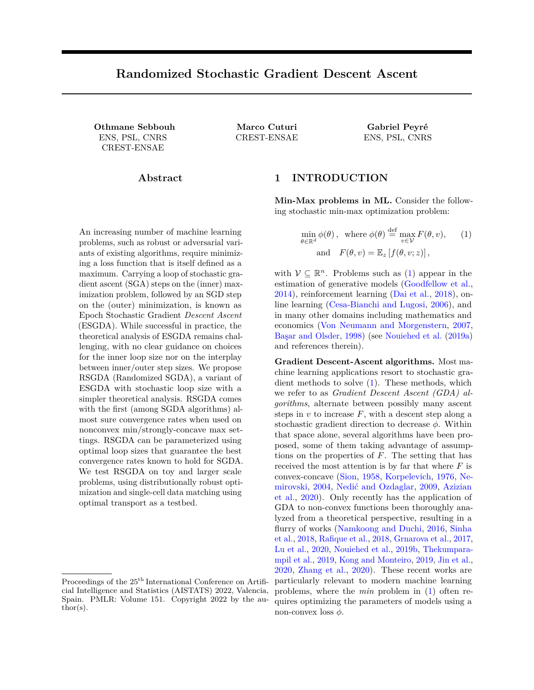Let > 0. The proof follows simply from forcing each term of the LHS of the previous inequality to be smaller than  $\frac{2}{5}$ . This results in the following choice of ,

$$
= \min \left( \frac{8}{10L-2}; \frac{1}{2}p \frac{p(1-p)}{10^{-2}Lp} \right)^r \left( \frac{1}{1-p} \frac{p}{2} \frac{p}{5} \frac{p}{p} \frac{p}{L} \right) \left( \frac{1}{8} \frac{p}{2L} \frac{1}{p} \frac{p}{2p + 1 \cdot p} \right) = \frac{9}{2}
$$

 $\overline{a}$ 

 $\Box$ 

and the following lower bound onk:

$$
k \quad \text{max} \quad \frac{8}{10000} \cdot \frac{1}{10000} \cdot \frac{2}{10000} \cdot \frac{2}{10000} \cdot \frac{2}{10000} \cdot \frac{2}{10000} \cdot \frac{2}{10000} \cdot \frac{2}{10000} \cdot \frac{2}{10000} \cdot \frac{2}{10000} \cdot \frac{2}{10000} \cdot \frac{2}{10000} \cdot \frac{2}{10000} \cdot \frac{2}{10000} \cdot \frac{2}{10000} \cdot \frac{2}{10000} \cdot \frac{2}{10000} \cdot \frac{2}{10000} \cdot \frac{2}{10000} \cdot \frac{2}{10000} \cdot \frac{2}{10000} \cdot \frac{2}{10000} \cdot \frac{2}{10000} \cdot \frac{2}{10000} \cdot \frac{2}{10000} \cdot \frac{2}{10000} \cdot \frac{2}{10000} \cdot \frac{2}{10000} \cdot \frac{2}{10000} \cdot \frac{2}{10000} \cdot \frac{2}{10000} \cdot \frac{2}{10000} \cdot \frac{2}{10000} \cdot \frac{2}{10000} \cdot \frac{2}{10000} \cdot \frac{2}{10000} \cdot \frac{2}{10000} \cdot \frac{2}{10000} \cdot \frac{2}{10000} \cdot \frac{2}{10000} \cdot \frac{2}{10000} \cdot \frac{2}{10000} \cdot \frac{2}{10000} \cdot \frac{2}{10000} \cdot \frac{2}{10000} \cdot \frac{2}{10000} \cdot \frac{2}{10000} \cdot \frac{2}{10000} \cdot \frac{2}{10000} \cdot \frac{2}{10000} \cdot \frac{2}{10000} \cdot \frac{2}{10000} \cdot \frac{2}{10000} \cdot \frac{2}{10000} \cdot \frac{2}{10000} \cdot \frac{2}{10000} \cdot \frac{2}{10000} \cdot \frac{2}{100
$$

By choosing p 2  $\frac{1}{2}$ ;  $\frac{1}{2}$ , we have that the RHS is at most of the order  $\frac{2}{2}$ ,  $\frac{4}{4}$  $2 \quad 4$ 

# C Learning with a semi-discrete Sinkhorn loss is a nonconvex-strongly concave problem

The goal of this Section is to present the details and proof of Lemma 4.2. Let us rst recall the problem setting presented in  $\overline{Y4.2}$  in more detail.

#### C.1 Problem setting

Let X  $\quad$  R<sup>p</sup>. For all n 2 N,de no [n]  $\stackrel{\text{def}}{=}$  f 1;:::;ng. Assume that we are given a xed dataset(y<sub>1</sub>;:::;y<sub>n</sub>) X Let  $X = \sum_{j=1}^{n}$  j  $y_j$ , where  $\sum_{j=1}^{n}$  j = 1 (we generalize the setting of  $Y4.2$  to non-uniform probabilities). Then, from Genevay et al. (2016), we have that for any  $2P(X)$ ,

$$
W(\;;\quad)=\max_{v\ge R^n} E_z \quad [h(z;v)];
$$

where

$$
h(x; v) = \sum_{j=1}^{x} v_{j-j}
$$
  $\log \sum_{i=1}^{x} exp \frac{v_i - c(x; y_i)}{i} + \cdots$ 

For a mapping  $q( ; ) : Z : X$ , we have

$$
W(g(~;~)_{\#}~;~) = \max_{v \ge R^n} E_z \quad [h(g(~;Z~);v)] :
$$

Thus, the problem of learning with a Sinkhorn loss can be formulated as

$$
\min_{2 \text{Re}^d} \max_{v \ge R^n} F(\cdot, v) \stackrel{\text{def}}{=} E_z \quad [h(g_z(\cdot); v)] : \tag{11}
$$

!

Assuming that a minimum exists, our goal is to nd

2 argmin ( ); where ( ) = 
$$
\max_{v \in R^n} F(v)
$$
:

C.2 Assumptions and consequences

We now detail the assumptions of Lemma 4.2. Assumption C.1. We have

1. for all z 2 Z; 7!  $c(g_z($  ); y) and y 7!  $c(g_z($  ); y) are L<sub>c</sub>-lipschitz for k  $k_2$  and k  $k_1$  respectively a.s.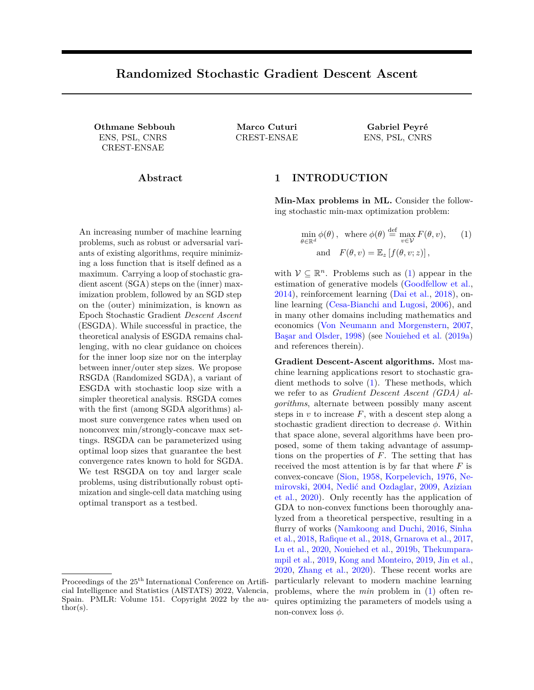2. for all  $z \, 2 \, z$  and  $y \, 2 \, Y$ ,  $7! \, c(g_z( ); y)$  is twice di erentiable and L<sub>c</sub>-smooth a.s.

Assumption C.1 has the following consequences on the function dened in  $(11)$ .

Lemma C.2. v 7!  $F(\cdot; v)$  is <sup>1</sup>-smooth for all 2  $R<sup>d</sup>$ . Moreover, if assumption C.1 holds, then

- 1. 7! F (; v) is L<sub>c</sub>-lipschitz and L<sub>F</sub>-smooth, whereL<sub>F</sub>  $\stackrel{\text{def}}{=}$   $\frac{L_c + 2 L_c^2}{L_c^2}$ .
- 2. v 7! r  $F(\cdot; v)$  and 7! r  $_vF(\cdot; v)$  are  $\frac{2L_c}{2}$ -lipschitz.

Before proving Lemma C.2, we present some notations and preliminary calculations that will be used throughout the proofs.

Notations. We de ne for all  $2 \mathbb{R}^d$ , v 2  $\mathbb{R}^n$ , z 2 Z, x; y 2 X <sup>2</sup>

$$
G_j(x) \stackrel{\text{def}}{=} G(x; y_j)
$$
  

$$
w_j(x) \stackrel{\text{def}}{=} \frac{\exp{\frac{y_j - C_j(x)}{C_k}}}{P} \frac{j}{\log{P}} \exp{\frac{y_k - C_k(x)}{C_k}}
$$
  

$$
C(g_z(\ ); y) = [C_1(g_z(\ )); \dots; C_n(g_z(\ ))]^>
$$

Closed form gradients.  $d, v 2 R<sup>n</sup>, z 2 Z and y 2 X.$  We have

r <sup>v</sup>h(g<sup>z</sup> ( ); v) = exp <sup>v</sup> c(g<sup>z</sup> ( );y ) exp <sup>v</sup> c(g<sup>z</sup> ( );y ) > 2 R n ; (12)

and

$$
r \quad h(g_z( ) ; v) = \sum_{j=1}^{\infty} \frac{\exp ^{-\frac{v_j - c_j (g_z( ) )}{2}}}{P} \frac{j}{\sum_{k=1}^{n} \exp ^{-\frac{v_k - c_k (g_z( ) )}{2}} - k} r \quad c_j (g_z( ) ) \ 2 \ R^d.
$$

Proof of Lemma C.2. Let Assumption C.1 hold. Let y 2 X .

 $\hat{ }$  v 7! F(; v) is  $\hat{ }$  -smooth.

Let 2 R<sup>d</sup>, v 2 R<sup>n</sup>, z 2 Z . De ne a  $\frac{def}{=}$  exp  $\frac{v - c(g_z( ) \cdot y)}{ }$  Di erentiating v 7! h(g<sub>z</sub>( ); v) twice, we have

$$
r_v^2 h(g_z(1); v) = \frac{1}{2} \frac{aa^2}{(a^2 1_n)^2} \frac{diag(a)}{a^2 1}
$$

Using the Cauchy-Schwartz inequality, we can show thatr  ${}^2_\nu h(x; v) = 0$ . Moreover, we have for allb 2 R<sup>n</sup>,

$$
\frac{b^{\circ} \text{ diag}(a)b}{a^{\circ} 1} = \frac{x^{n}}{n} \frac{a_{i}}{n} \frac{a_{i}}{1 - 1} a_{j} b_{i}^{2} \text{ k } bk^{2};
$$

that is,  $\frac{diag(a)}{a^2+1}$  I. This, together with the fact that  $\frac{aa^2}{(a^2+1)^2}$  0, implies that  $\frac{1}{a}$  r  $\frac{2}{v}h(x;v)$  0. This in turn implies that  $\vee$  7! F(;  $\vee$ ) is <sup>1</sup>-smooth.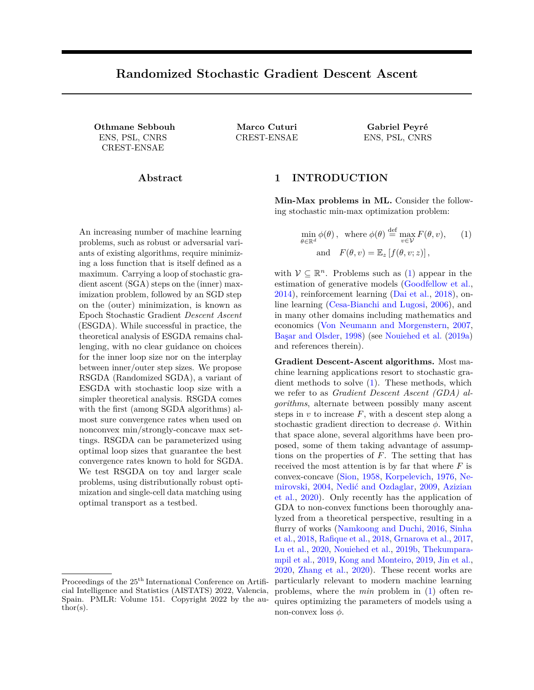$\hat{ }$  7! F(; v) is  $\frac{\mathsf{L}_{\mathsf{c}} + 2\mathsf{L}_{\mathsf{c}}^2}{\mathsf{L}}$ -smooth. Let  $2 \mathsf{R}^d$ , v  $2 \mathsf{R}^n$ , z  $2 \mathsf{Z}$ . We have r <sup>2</sup>h(g<sub>z</sub>( ); v) =  $\frac{1}{2}$ <sup>Xn</sup> j =1  $w_j (g_z($  )) r <sup>2</sup> $G (g_z($  )) r  $G (g_z($  ))r  $G (g_z($  )) $)$ Xn k=1  $w_k(g_z($  ))r  $c_k(g_z($  )) + 0 @ Xn j =1  $w_j (g_z($  ))r  $c_j (g_z($  )) 1 A Xn k=1  $w_k (g_z (\ ) )r \, g_k (g_z (\ ) )^>$ !  $=$   $\frac{1}{2}$   $x^n$ k=1  $w_k(g_z($   $))$ Xn j =1  $w_j (g_z(\ ))$  r<sup>2</sup>c<sub>j</sub> (g<sub>z</sub>( )) + (r c<sub>k</sub> (g<sub>z</sub>( )) r c<sub>j</sub> (g<sub>z</sub>( ))) r c<sub>j</sub> (g<sub>z</sub>( ))<sup>></sup>

Let b 2 R<sup>d</sup>. Then

$$
r^{2}h(g_{z}(\ );v)b
$$
  $\frac{1}{s} \int_{k=1}^{x} w_{k}(g_{z}(\ ))\int_{j=1}^{x} w_{j}(g_{z}(\ ))-r^{2}g(g_{z}(\ ))b$   
+  $kr^{2}g(g_{z}(\ ))-r^{2}g(g_{z}(\ ))+r^{2}g(g_{z}(\ ))+r^{2}g(g_{z}(\ ))+r^{2}g(g_{z}(\ ))+r^{2}g(g_{z}(\ ))+r^{2}g(g_{z}(\ ))+r^{2}g(g_{z}(\ ))+r^{2}g(g_{z}(\ ))+r^{2}g(g_{z}(\ ))+r^{2}g(g_{z}(\ ))+r^{2}g(g_{z}(\ ))+r^{2}g(g_{z}(\ ))+r^{2}g(g_{z}(\ ))+r^{2}g(g_{z}(\ ))+r^{2}g(g_{z}(\ ))+r^{2}g(g_{z}(\ ))+r^{2}g(g_{z}(\ ))+r^{2}g(g_{z}(\ ))+r^{2}g(g_{z}(\ ))+r^{2}g(g_{z}(\ ))+r^{2}g(g_{z}(\ ))+r^{2}g(g_{z}(\ ))+r^{2}g(g_{z}(\ ))+r^{2}g(g_{z}(\ ))+r^{2}g(g_{z}(\ ))+r^{2}g(g_{z}(\ ))+r^{2}g(g_{z}(\ ))+r^{2}g(g_{z}(\ ))+r^{2}g(g_{z}(\ ))+r^{2}g(g_{z}(\ ))+r^{2}g(g_{z}(\ ))+r^{2}g(g_{z}(\ ))+r^{2}g(g_{z}(\ ))+r^{2}g(g_{z}(\ ))+r^{2}g(g_{z}(\ ))+r^{2}g(g_{z}(\ ))+r^{2}g(g_{z}(\ ))+r^{2}g(g_{z}(\ ))+r^{2}g(g_{z}(\ ))+r^{2}g(g_{z}(\ ))+r^{2}g(g_{z}(\ ))+r^{2}g(g_{z}(\ ))+r^{2}g(g_{z}(\ ))+r^{2}g(g_{z}(\ ))+r^{2}g(g_{z}(\ ))+r^{2}g(g_{z}(\ ))+r^{2}g(g_{z}(\ ))+r^{2}g(g_{z}(\ ))+r^{2}g(g_{z}(\ ))+r^{2}g(g_{z}(\ ))+r^{2}g(g_{z}(\ ))+r^{2}g(g_{z}(\ ))+r^{2}g(g_{z}(\ ))+r^{2}g(g_{z}(\ ))+r^{2}g(g_{z}(\ ))+r^{2$ 

Using Cauchy-Schwarz and the fact that 7!  $G(g_z( ) )$  is L<sub>c</sub>-lipschitz, we have

 $r G(g_z())$  b kr  $G(g_z())$ k kbk  $L_c$  kbk and kr  $G_k(g_z())$  r  $G_g(g_z())$ k  $2L_c$ : Moreover, since 7!  $G(g_z($  )) is L<sub>c</sub>-smooth, we have r<sup>2</sup> $G_j(g_z($  ))b L<sub>c</sub>kbk. Hence,

$$
r^{2}h(g_{z}(.);v)b \frac{2L_{c}^{2}+L_{c}}{k}kbk^{2}w_{k}(g_{z}(.)) \sum_{j=1}^{x^{n}} w_{j}(g_{z}(.))
$$

$$
= \frac{2L_{c}^{2}+L_{c}}{k}kbk:
$$

Taking the expectation and using Jensen's inequality gives

$$
r^2F('v)b
$$
 E<sub>z</sub>  $r^2h(g_z(');v)b$   $\frac{2L_c^2+L_c}{}$  kbk:

This shows that 7! F(; v) is  $\frac{2L_c^2 + L_c}{ }$ -smooth.

 $\degree$  v 7! r  $\top$  (; v) and 7! r  $\sqrt{F}$  (; v) are  $\frac{2L_c}{\sim}$ -lipschitz. Let  $2 \mathsf{R}^d$ , v 2  $\mathsf{R}^n$ , z 2 Z. Let a 2  $\mathsf{R}^d$ . Di erentiating  $7! \mathsf{r}$  <sub>v</sub>h( $g_z($ ); v), we have

$$
r^{2} \text{ h}(g_{z}(.);v)a = \frac{1}{2} \sum_{i=1}^{N^{1}} w_{i}(g_{z}(.)) \times w_{k}(g_{z}(.))(r^{2} \text{ g}(g_{z}(.))) \times a
$$
\n
$$
= \frac{1}{2} \sum_{i=1}^{N^{1}} w_{i}(g_{z}(.))^{2} \times w_{k}(g_{z}(.))(r^{2} \text{ g}(g_{z}(.))) \times a
$$
\n
$$
= \frac{1}{2} \sum_{i=1}^{N^{1}} w_{i}(g_{z}(.))^{2} \times w_{k}(g_{z}(.)) (r^{2} \text{ g}(g_{z}(.))) \times a
$$
\n
$$
= \frac{1}{2} \sum_{i=1}^{N^{1}} w_{i}(g_{z}(.))^{2} \times w_{k}(g_{z}(.)) \times (r^{2} \text{ g}(g_{z}(.))) \times a
$$
\n
$$
= \frac{1}{2} \sum_{i=1}^{N^{1}} w_{i}(g_{z}(.))^{2} \times w_{k}(g_{z}(.))kr^{2} \text{ g}(g_{z}(.)) \times r^{2} \text{ g}(g_{z}(.))k^{2}kak^{2}
$$
\n
$$
= \frac{4L_{c}^{2}}{2}kak^{2} \times w_{i}(.)^{2}
$$
\n
$$
= \frac{4L_{c}^{2}}{2}kak^{2};
$$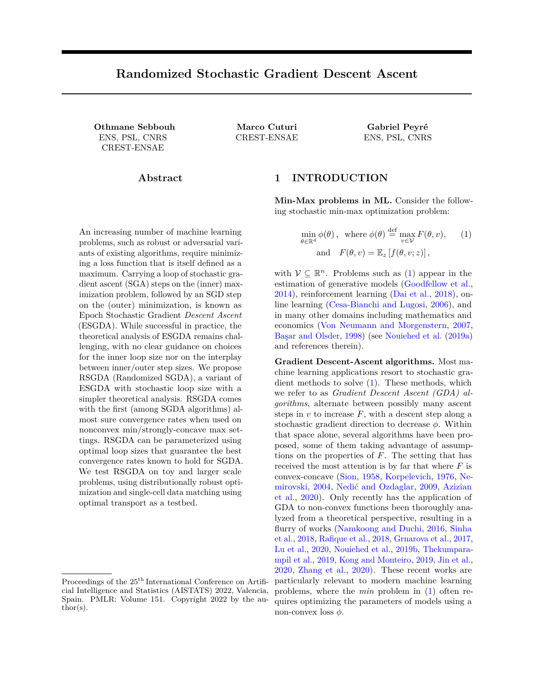where we used Jensen's inequality in the first inequality, Cauchy-Schwarz in the second, the fact that  $\theta \mapsto c_i(\theta)$  is  $L_c$ -lipschitz *a.s.* in the third, and  $w_i(\theta)^2 \leq w_i(\theta)$  in the fourth. Note that the norm on the left hand side is in  $\mathbb{R}^n$ , while that on the right hand side is in  $\mathbb{R}^d$ . Since the squared norm is convex, using Jensen's inequality,

$$
\nabla^2_{\theta v} F(\theta, v) a^{-2} \leq \mathbb{E}_{z \sim \mu} \quad \nabla^2_{\theta v} h(g_z(\theta), v) a^{-2} \leq \frac{4L_c^2}{\epsilon^2} \|a\|^2.
$$

We conclude that  $\theta \mapsto \nabla_v F(\theta, v)$  is  $\frac{2L_c}{\epsilon}$ -lipschitz for all  $v \in \mathbb{R}^n$ . Similarly, we have that  $v \mapsto \nabla_{\theta} F(\theta, v)$  is  $\frac{2L_c}{\epsilon}$ -lipschitz for all  $\theta \in \mathbb{R}^d$ .

<span id="page-24-1"></span><span id="page-24-0"></span> $\Box$ 

#### **C.3 Restricting the maximization problem**

In this section, we give the explicit form of the set  $V$  in Lemma 4.2. Indeed, we show that the problem  $\max_{v \in \mathbb{R}^n} F(\theta, v)$  can be restricted to a smaller bounded set on which  $v \mapsto F(\theta, v)$  is strongly-concave for all  $\theta \in \mathbb{R}^d$ .

**Lemma C.3.** *Let Assumption C.1 hold. Define*

$$
\mathcal{V} \stackrel{\text{def}}{=} v \in \mathbb{R}^n : \|v\|_2 \le \frac{L_c}{n} \sum_{i,k=1}^n \|y_k - y_i\|_\infty \text{ and } \sum_{i=1}^n v_i = 0 \quad . \tag{13}
$$

*Then, for all*  $\theta \in \mathbb{R}^d$ ,

$$
\max_{v \in \mathbb{R}^n} F(\theta, v) = \max_{v \in \mathcal{V}} F(\theta, v),\tag{14}
$$

*and F admits a unique maximizer on* V*.*

*Proof.* Let  $v^* \in \text{argmax}_{v \in \mathbb{R}^n} F(\theta, v)$ . Since  $\theta \mapsto c(g_z(\theta), y)$  is  $L_c$ -lipschitz, we have that the (Sinkhorn) Kantorvitch potentials are *Lc*-Lipschitz on Y as well (Genevay et al., 2019, Proposition 1). This means, in the discrete setting, that for any  $v^* \in \operatorname{argmax}_{v \in \mathbb{R}^n} F(\theta, v)$  and  $(k, i) \in [n]^2$ ,

$$
|v_k^* - v_i^*| \le L_c \|y_k - y_i\|_{\infty}.
$$

Hence,

$$
v_i^* - L_c \|y_k - y_i\|_{\infty} \le v_k^* \le v_i^* + L_c \|y_k - y_i\|_{\infty}.
$$

Further, since the Kantorovitch potentials are uniquely defined upto a constant, we can restrict our attention to the *unique* vector  $v^* \in \mathbb{R}^n$  which verifies  $\frac{n}{i-1} v_i^* = 0$ . Thus, summing the previous inequality from  $i = 1$ to *n* and rearranging, we have

$$
|v_k^*| \leq \frac{L_c}{n} \sum_{i=1}^n ||y_k - y_i||_{\infty}.
$$

Finally, summing between  $k = 1$  and *n* and using the fact that  $||v||_2 \le ||v||_1$ , we have that

$$
||v^*||_2 \le \frac{L_c}{n} \sum_{i,k=1}^n ||y_k - y_i||_{\infty}.
$$

That is, the unique solution  $v^*$  to the maximization problem  $\max_{v \in \mathbb{R}^n} F(\theta, v)$  which verifies  $n_i = 0$  also verifies the previous inequality. Thus, we can restrict the maximization to the set  $\mathcal V$  defined in [\(13\)](#page-24-0)  $\Box$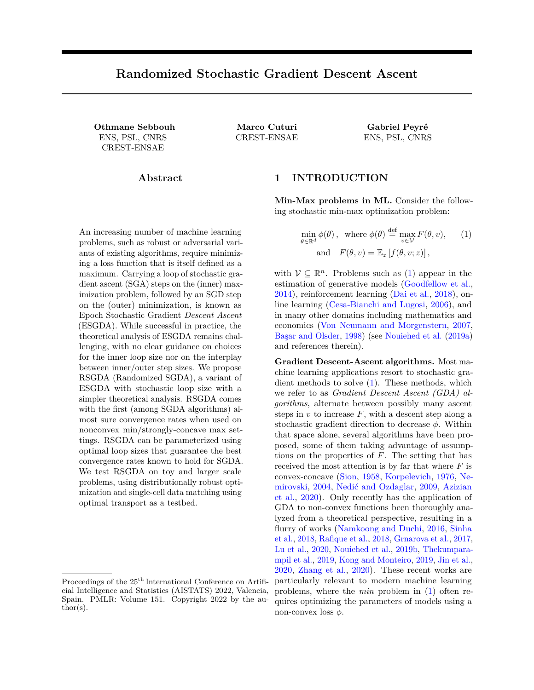**Remark C.4.** *Suppose we want to solve Problem* [\(14\)](#page-24-1) *using Projected Stochastic Gradient Ascent. For simplicity, suppose here that*  $g(z, \theta) = z$  *for all*  $z, \theta \in \mathcal{Z} \times \mathbb{R}^d$  *almost surely. Suppose that we initialize at*  $v_0 = 0$  and update for all  $k \in \mathbb{N}$ ,  $v_{k+1} = \Pi_V (v_k + \eta \nabla_v h(z_k, v_k))$ , where  $z_k \sim \mu$ . From (12), we have that for all  $z \in \mathcal{Z}$  and  $v \in \mathbb{R}^n$ ,  $\frac{n}{j=1} \partial_{v^j} h(z, v) = 0$ , so that, since we initialize at  $v_0 = 0$ , we will have  $\frac{n}{j=1} v_k^j = 0$ *for all*  $k \in \mathbb{N}$ *. Hence, we can replace the set*  $\mathcal{V}$  *by*  $\tilde{\mathcal{V}} \stackrel{\text{def}}{=} v \in \mathbb{R}^n : ||v||_2 \leq \frac{L_c}{n}$  $\int_{i,k=1}^{n} \|y_k - y_i\|_{\infty}$  *. Let*  $\beta = \frac{L_c}{n}$  $\sum_{i,k=1}^{n} \|y_k - y_i\|_{\infty}$ . The projection operator is then simply

$$
\Pi_{\tilde{\mathcal{V}}}(v) = \frac{\beta v}{\max{\{\|v\|,\beta\}}}
$$

*for all*  $v \in \mathbb{R}^n$ .

#### **C.4 The semi-dual objective is strongly concave on the subset** V

We now show that  $v \mapsto F(\theta, v)$  is strongly concave on  $\mathcal V$  for all  $\theta \in \mathbb R^d$ . **Proposition C.5.** *Let Assumption C.1 hold. Define*

V *def* = *v* ∈ R *n* : k*v*k<sup>2</sup> ≤ *Lc n n i,k*=1 k*y<sup>k</sup>* − *yi*k<sup>∞</sup> *and n i*=1 *v<sup>i</sup>* = 0 *.*

Let  $\Delta_y^n = \max_{i,k \in [n]} ||y_k - y_i||_{\infty}$ . Then, the function  $v \mapsto F(\theta, v)$ , where F is defined in (11), is  $\xi$ -strongly *concave on* V*, with*

$$
\xi \stackrel{\text{def}}{=} \frac{\exp \frac{-2(n+2)L_c\Delta_y^n}{\epsilon} \min_{k \in [n]} k}{2n\epsilon}.
$$

*Proof.* Let  $v, d \in V$  and define  $a = \exp(\frac{v - c(g_z(\theta), y)}{\epsilon})$   $\odot$  . By differentiating  $v \mapsto h(g_z(\theta), v)$  twice, we have, using standard computations for the log-sum-exp function:

$$
\nabla_v^2 h(x,v) = \frac{1}{\epsilon} \frac{aa^{\top}}{(\mathbf{1}_n \top a)^2} - \frac{\text{diag}(a)}{\mathbf{1}_n \top a} .
$$

Hence,

$$
d^{\top} \nabla_v^2 h(x, v) d = \frac{1}{\epsilon} \frac{\left(\frac{n}{i-1} a_i d_i\right)^2}{\left(\mathbf{1}_n \top a\right)^2} - \frac{n}{i-1} a_i d_i^2
$$

$$
= \frac{1}{\epsilon} \frac{\left(\frac{n}{i-1} a_i d_i\right)^2}{\left(\mathbf{1}_n \top a\right)^2} - \frac{\frac{n}{i-1} a_i d_i^2}{\mathbf{1}_n \top a}
$$

Define  $w_i = \frac{a_i}{\frac{n}{k-1} a_k}$ . Then, we can rewrite the previous equality as

$$
d^{\top} \nabla_v^2 h(x, v) d = \frac{1}{\epsilon} \left( \int_{i=1}^n w_i d_i \right)^2 - \int_{i=1}^n w_i d_i^2
$$

Since  $\int_{j=1}^{n} w_j = 1$ , it is easy to show that

$$
\int_{i=1}^{n} w_i d_i^2 - \left(\int_{i=1}^{n} w_i d_i\right)^2 = \frac{1}{2} \int_{i,j} w_i w_j (d_i - d_j)^2.
$$

Hence,

$$
d^{\top} \nabla_v^2 h(x, v) d = -\frac{1}{2\epsilon} \qquad w_i w_j (d_i - d_j)^2 .
$$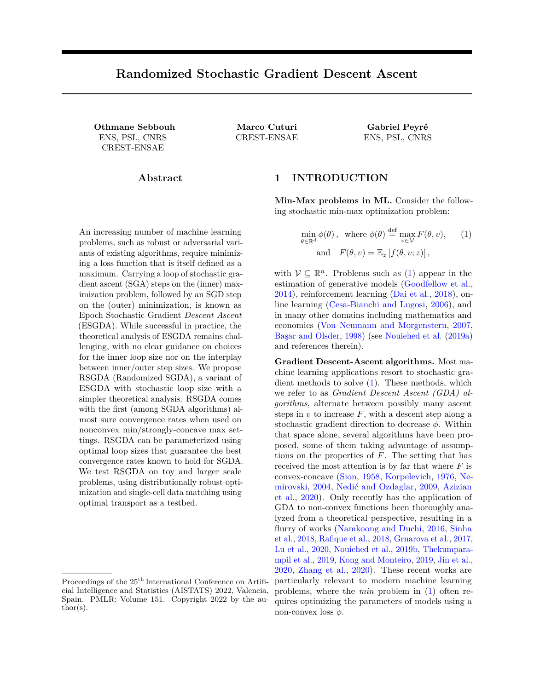But we have for all  $i \in [n]$ ,  $w_i = \frac{\exp(\frac{v_i}{\epsilon})\nu_i}{\frac{n}{k-1}\exp(\frac{v_k}{\epsilon} + c(x, y_i) - c(x, y_k))}$ . And since  $y \mapsto c(x, y)$  is  $L_c$ -lipschitz for all  $x \in \mathcal{X}$ , we have

$$
|c(x,y_i) - c(x,y_k)| \le L_c \|y_i - y_k\|_{\infty} \le L_c \Delta_y^n, \quad \text{where} \quad \Delta_y^n = \max_{i,k \in [n]} \|y_i - y_k\|_{\infty}.
$$

Since  $v \in V$ , we also have that

$$
||v||_2 \leq \frac{L_c}{n} \quad ||y_k - y_i||_{\infty} \leq nL_c\Delta_y^n.
$$

Using these two inequalities to lower bound  $w_i$ , we have that

$$
w_i \geq \frac{\exp \frac{-(n+2)L_c\Delta_y^n}{\epsilon} \min_{k \in [n]} k}{n}.
$$

Hence,

$$
d^{\top} \nabla_v^2 h(x, v) d \leq -\frac{\exp \frac{-2(n+2)L_c \Delta_y^n}{\epsilon} \min_{k \in [n]} k}{2n^2 \epsilon} \frac{(d_i - d_j)^2}{i j}.
$$

But since  $d \in V$ , we have that  $\int_{i=1}^{n} d_i = 0$ . Hence;  $\int_{i}^{i} (d_i - d_j)^2 = 2n - \int_{i=1}^{n} d_i^2 = 2n ||d||^2$ . Hence,

$$
d^\top \nabla^2_v h(g_z(\theta),v)d\leq -\frac{\exp\left|\frac{-2(n+2)L_c\Delta_y^n}{\epsilon}\right|}{2n\epsilon}\min_{k\in[n]}\left|k\right||^2.
$$

This inequality holds for all  $z \sim \mathcal{D}$  almost surely. Taking the expectation shows that  $v \mapsto F(\theta, v)$  is strongly concave on  $V$  for all  $\theta \in \mathbb{R}^d$ .  $\Box$ 

# **D Details about the experimental setting of Section 4.2**

For ease of exposition, we redefine here the semi-dual function used in §4.2. Let  $x \in \mathcal{X}$ , and consider a point cloud  $(y_j)_{j=1}^n \subseteq \mathcal{Y}$ . Then we define for all  $v \in \mathbb{R}^n$ ,

$$
h \ x, (y_j)_{j=1}^n; v \stackrel{\text{def}}{=} \frac{1}{n} \int_{j=1}^n v_j - \epsilon \log \frac{1}{n} \sum_{j=1}^n \exp \frac{v_j - c(x, y_j)}{\epsilon} - \epsilon.
$$
 (15)

The goal is to solve the following problem

$$
\min_{\theta \in \mathbb{R}^d} \mathcal{W}_{\epsilon} \quad \mu, \quad \delta_{f_{\theta}(y_j)} \equiv \max_{v \in \mathbb{R}^n} \mathbb{E}_{x \sim \mu} \quad h \quad x, \left(f_{\theta}(y_j)\right)_{j=1}^n; v \quad .
$$

Thus, if  $\mu = \frac{1}{m}$  $\sum_{i=1}^{m} \delta_{x_i}$  for  $(x_i)_{i=1}^{m} \subseteq \mathcal{X}$ , we want to solve

<span id="page-26-1"></span>
$$
\min_{\theta \in \mathbb{R}^d} \max_{v \in \mathbb{R}^n} \frac{1}{m} \sum_{i=1}^m h \ x_i, (f_{\theta}(y_j))_{j=1}^n; v .
$$

#### **D.1 Dataset, architecture and OT hyperparameters**

**Dataset.** The dataset we used was first considered in Stark et al. (2020). It consists of a single-cell profile of a metastatic melanoma sample from the Tumor Profiler Consortium<sup>[1](#page-26-0)</sup>. It contains single-cell data from a

<span id="page-26-0"></span><sup>1</sup>https://tpreports.nexus.ethz.ch/download/scim/data/tupro/